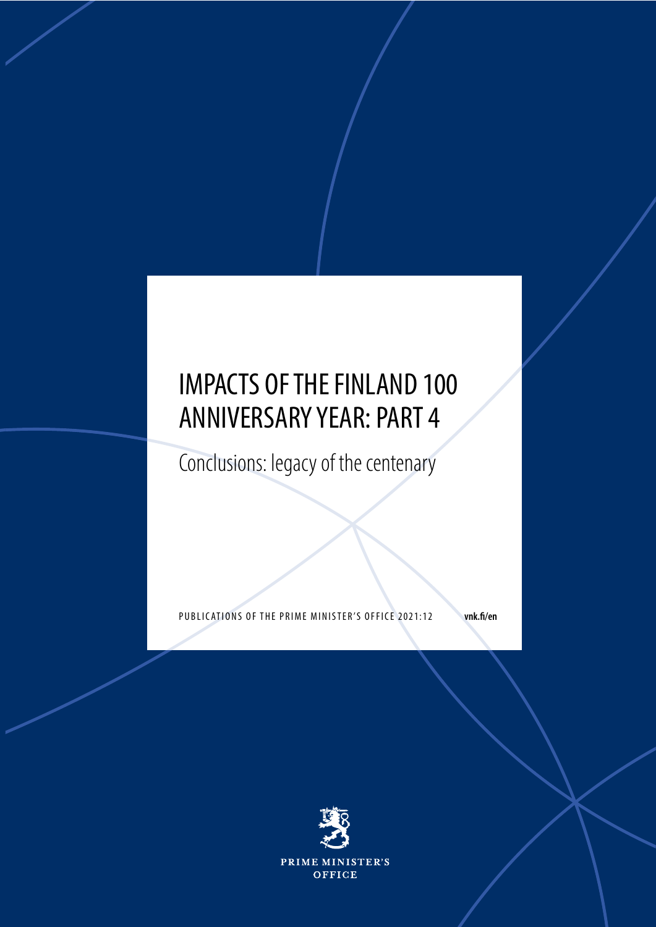## IMPACTS OF THE FINLAND 100 ANNIVERSARY YEAR: PART 4

Conclusions: legacy of the centenary

PUBLICATIONS OF THE PRIME MINISTER'S OFFICE 2021:12 vnk.fi/en

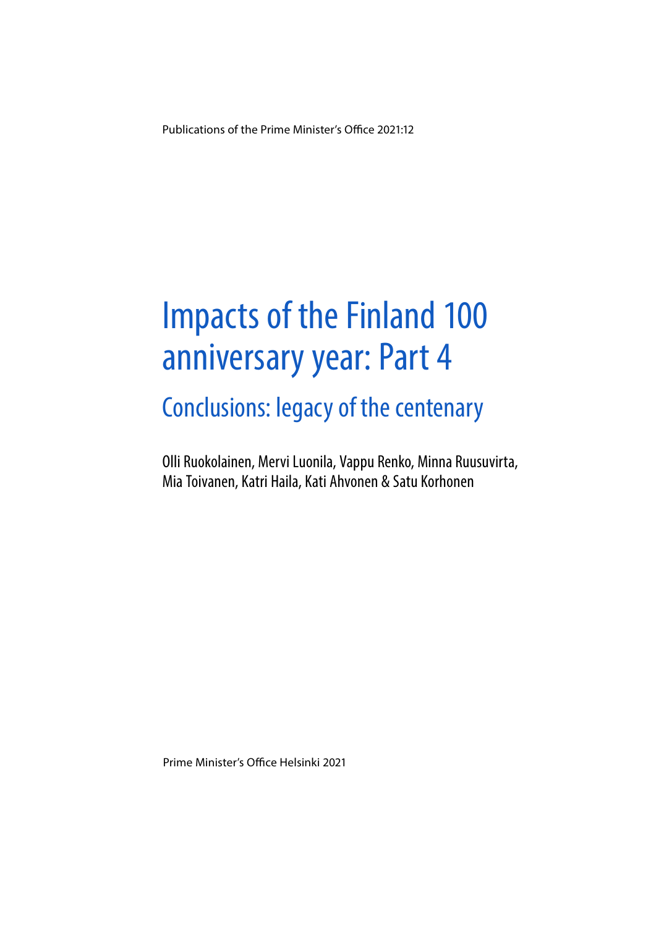Publications of the Prime Minister's Office 2021:12

# Impacts of the Finland 100 anniversary year: Part 4

Conclusions: legacy of the centenary

Olli Ruokolainen, Mervi Luonila, Vappu Renko, Minna Ruusuvirta, Mia Toivanen, Katri Haila, Kati Ahvonen & Satu Korhonen

Prime Minister's Office Helsinki 2021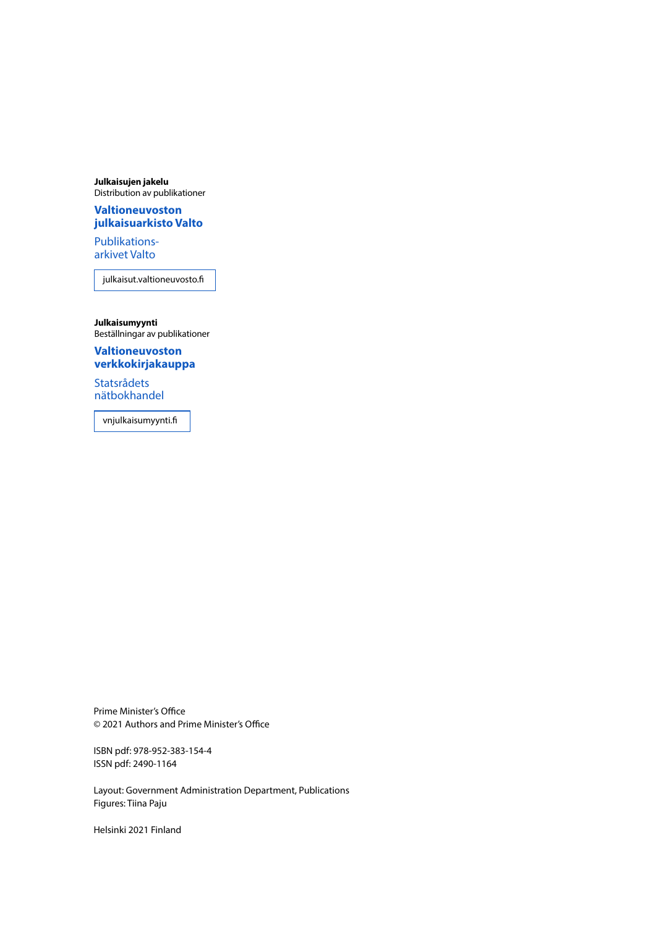**Julkaisujen jakelu** Distribution av publikationer

#### **Valtioneuvoston [julkaisuarkisto Valto](https://julkaisut.valtioneuvosto.fi/)**

Publikationsarkivet Valto

julkaisut.valtioneuvosto.fi

**Julkaisumyynti** Beställningar av publikationer

**Valtioneuvoston [verkkokirjakauppa](https://vnjulkaisumyynti.fi/)**

Statsrådets nätbokhandel

vnjulkaisumyynti.fi

Prime Minister's Office © 2021 Authors and Prime Minister's Office

ISBN pdf: 978-952-383-154-4 ISSN pdf: 2490-1164

Layout: Government Administration Department, Publications Figures: Tiina Paju

Helsinki 2021 Finland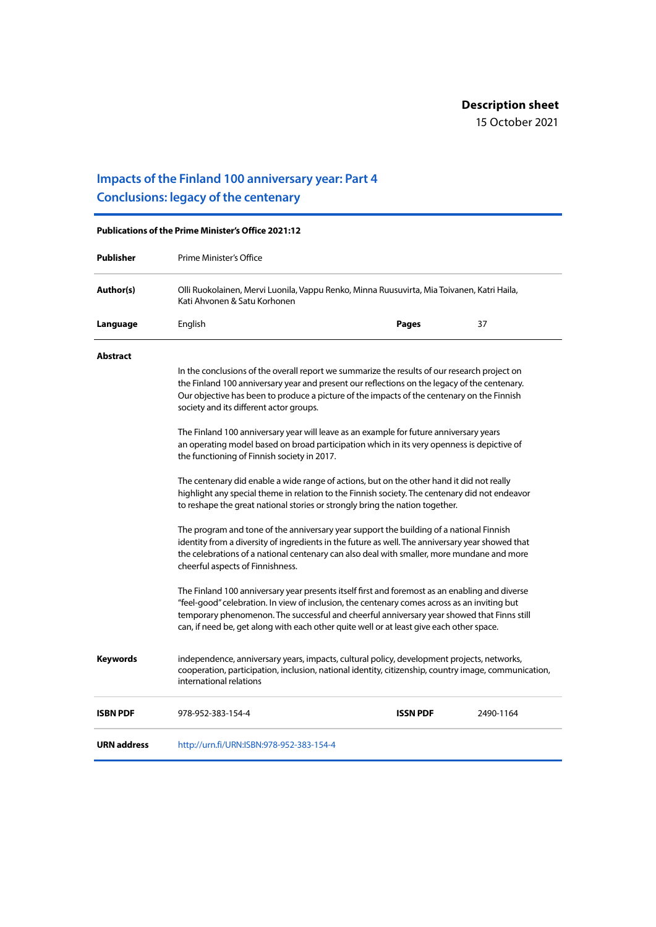### **Impacts of the Finland 100 anniversary year: Part 4 Conclusions: legacy of the centenary**

| <b>Publications of the Prime Minister's Office 2021:12</b> |                                                                                                                                                                                                                                                                                                                                                                                          |                 |           |
|------------------------------------------------------------|------------------------------------------------------------------------------------------------------------------------------------------------------------------------------------------------------------------------------------------------------------------------------------------------------------------------------------------------------------------------------------------|-----------------|-----------|
| <b>Publisher</b>                                           | Prime Minister's Office                                                                                                                                                                                                                                                                                                                                                                  |                 |           |
| Author(s)                                                  | Olli Ruokolainen, Mervi Luonila, Vappu Renko, Minna Ruusuvirta, Mia Toivanen, Katri Haila,<br>Kati Ahvonen & Satu Korhonen                                                                                                                                                                                                                                                               |                 |           |
| Language                                                   | English                                                                                                                                                                                                                                                                                                                                                                                  | Pages           | 37        |
| <b>Abstract</b>                                            |                                                                                                                                                                                                                                                                                                                                                                                          |                 |           |
|                                                            | In the conclusions of the overall report we summarize the results of our research project on<br>the Finland 100 anniversary year and present our reflections on the legacy of the centenary.<br>Our objective has been to produce a picture of the impacts of the centenary on the Finnish<br>society and its different actor groups.                                                    |                 |           |
|                                                            | The Finland 100 anniversary year will leave as an example for future anniversary years<br>an operating model based on broad participation which in its very openness is depictive of<br>the functioning of Finnish society in 2017.                                                                                                                                                      |                 |           |
|                                                            | The centenary did enable a wide range of actions, but on the other hand it did not really<br>highlight any special theme in relation to the Finnish society. The centenary did not endeavor<br>to reshape the great national stories or strongly bring the nation together.                                                                                                              |                 |           |
|                                                            | The program and tone of the anniversary year support the building of a national Finnish<br>identity from a diversity of ingredients in the future as well. The anniversary year showed that<br>the celebrations of a national centenary can also deal with smaller, more mundane and more<br>cheerful aspects of Finnishness.                                                            |                 |           |
|                                                            | The Finland 100 anniversary year presents itself first and foremost as an enabling and diverse<br>"feel-good" celebration. In view of inclusion, the centenary comes across as an inviting but<br>temporary phenomenon. The successful and cheerful anniversary year showed that Finns still<br>can, if need be, get along with each other quite well or at least give each other space. |                 |           |
| <b>Keywords</b>                                            | independence, anniversary years, impacts, cultural policy, development projects, networks,<br>cooperation, participation, inclusion, national identity, citizenship, country image, communication,<br>international relations                                                                                                                                                            |                 |           |
| <b>ISBN PDF</b>                                            | 978-952-383-154-4                                                                                                                                                                                                                                                                                                                                                                        | <b>ISSN PDF</b> | 2490-1164 |
| <b>URN address</b>                                         | http://urn.fi/URN:ISBN:978-952-383-154-4                                                                                                                                                                                                                                                                                                                                                 |                 |           |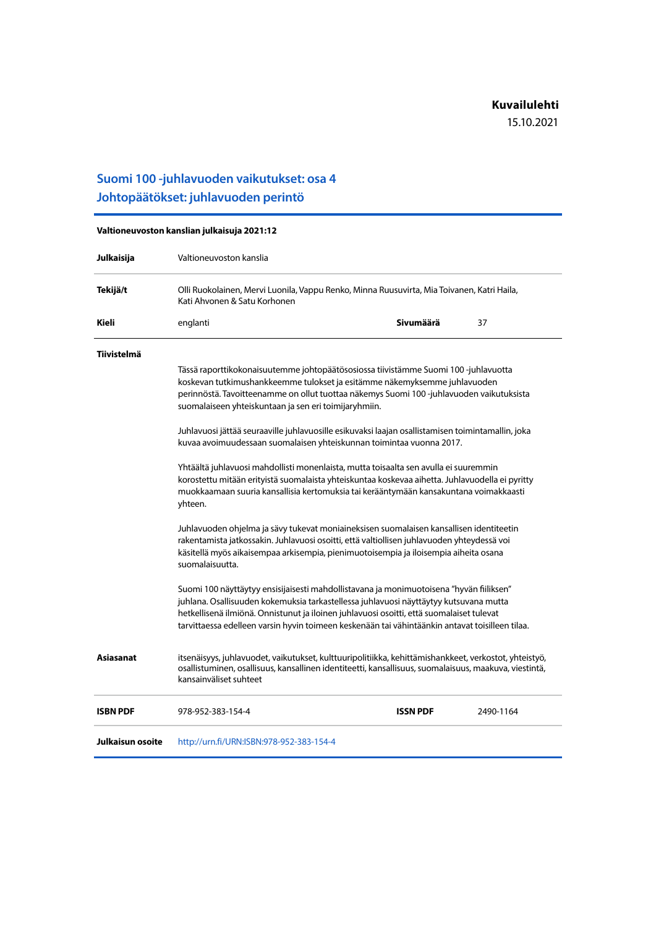### **Suomi 100 -juhlavuoden vaikutukset: osa 4 Johtopäätökset: juhlavuoden perintö**

| Valtioneuvoston kanslian julkaisuja 2021:12 |                                                                                                                                                                                                                                                                                                                                                                                 |                 |           |
|---------------------------------------------|---------------------------------------------------------------------------------------------------------------------------------------------------------------------------------------------------------------------------------------------------------------------------------------------------------------------------------------------------------------------------------|-----------------|-----------|
| Julkaisija                                  | Valtioneuvoston kanslia                                                                                                                                                                                                                                                                                                                                                         |                 |           |
| Tekijä/t                                    | Olli Ruokolainen, Mervi Luonila, Vappu Renko, Minna Ruusuvirta, Mia Toivanen, Katri Haila,<br>Kati Ahvonen & Satu Korhonen<br>Sivumäärä<br>37<br>englanti                                                                                                                                                                                                                       |                 |           |
| Kieli                                       |                                                                                                                                                                                                                                                                                                                                                                                 |                 |           |
| <b>Tiivistelmä</b>                          |                                                                                                                                                                                                                                                                                                                                                                                 |                 |           |
|                                             | Tässä raporttikokonaisuutemme johtopäätösosiossa tiivistämme Suomi 100 -juhlavuotta<br>koskevan tutkimushankkeemme tulokset ja esitämme näkemyksemme juhlavuoden<br>perinnöstä. Tavoitteenamme on ollut tuottaa näkemys Suomi 100-juhlavuoden vaikutuksista<br>suomalaiseen yhteiskuntaan ja sen eri toimijaryhmiin.                                                            |                 |           |
|                                             | Juhlavuosi jättää seuraaville juhlavuosille esikuvaksi laajan osallistamisen toimintamallin, joka<br>kuvaa avoimuudessaan suomalaisen yhteiskunnan toimintaa vuonna 2017.                                                                                                                                                                                                       |                 |           |
|                                             | Yhtäältä juhlavuosi mahdollisti monenlaista, mutta toisaalta sen avulla ei suuremmin<br>korostettu mitään erityistä suomalaista yhteiskuntaa koskevaa aihetta. Juhlavuodella ei pyritty<br>muokkaamaan suuria kansallisia kertomuksia tai kerääntymään kansakuntana voimakkaasti<br>yhteen.                                                                                     |                 |           |
|                                             | Juhlavuoden ohjelma ja sävy tukevat moniaineksisen suomalaisen kansallisen identiteetin<br>rakentamista jatkossakin. Juhlavuosi osoitti, että valtiollisen juhlavuoden yhteydessä voi<br>käsitellä myös aikaisempaa arkisempia, pienimuotoisempia ja iloisempia aiheita osana<br>suomalaisuutta.                                                                                |                 |           |
|                                             | Suomi 100 näyttäytyy ensisijaisesti mahdollistavana ja monimuotoisena "hyvän fiiliksen"<br>juhlana. Osallisuuden kokemuksia tarkastellessa juhlavuosi näyttäytyy kutsuvana mutta<br>hetkellisenä ilmiönä. Onnistunut ja iloinen juhlavuosi osoitti, että suomalaiset tulevat<br>tarvittaessa edelleen varsin hyvin toimeen keskenään tai vähintäänkin antavat toisilleen tilaa. |                 |           |
| Asiasanat                                   | itsenäisyys, juhlavuodet, vaikutukset, kulttuuripolitiikka, kehittämishankkeet, verkostot, yhteistyö,<br>osallistuminen, osallisuus, kansallinen identiteetti, kansallisuus, suomalaisuus, maakuva, viestintä,<br>kansainväliset suhteet                                                                                                                                        |                 |           |
| <b>ISBN PDF</b>                             | 978-952-383-154-4                                                                                                                                                                                                                                                                                                                                                               | <b>ISSN PDF</b> | 2490-1164 |
| Julkaisun osoite                            | http://urn.fi/URN:ISBN:978-952-383-154-4                                                                                                                                                                                                                                                                                                                                        |                 |           |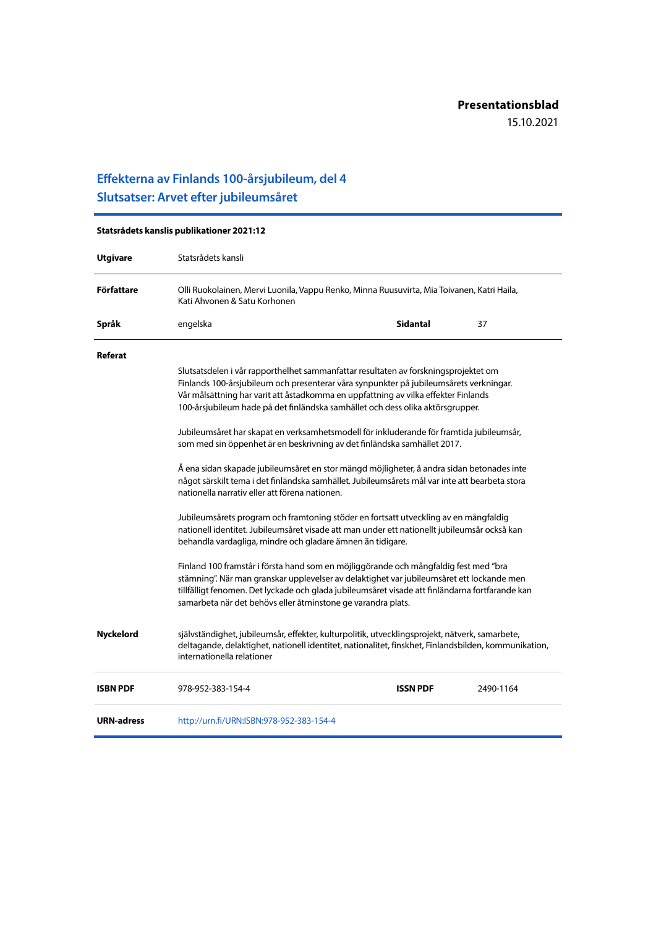### **Effekterna av Finlands 100-årsjubileum, del 4 Slutsatser: Arvet efter jubileumsåret**

| Statsrådets kanslis publikationer 2021:12 |                                                                                                                                                                                                                                                                                                                                                       |                 |           |
|-------------------------------------------|-------------------------------------------------------------------------------------------------------------------------------------------------------------------------------------------------------------------------------------------------------------------------------------------------------------------------------------------------------|-----------------|-----------|
| <b>Utgivare</b>                           | Statsrådets kansli                                                                                                                                                                                                                                                                                                                                    |                 |           |
| Författare                                | Olli Ruokolainen, Mervi Luonila, Vappu Renko, Minna Ruusuvirta, Mia Toivanen, Katri Haila,<br>Kati Ahvonen & Satu Korhonen                                                                                                                                                                                                                            |                 |           |
| Språk                                     | engelska                                                                                                                                                                                                                                                                                                                                              | <b>Sidantal</b> | 37        |
| Referat                                   |                                                                                                                                                                                                                                                                                                                                                       |                 |           |
|                                           | Slutsatsdelen i vår rapporthelhet sammanfattar resultaten av forskningsprojektet om<br>Finlands 100-årsjubileum och presenterar våra synpunkter på jubileumsårets verkningar.<br>Vår målsättning har varit att åstadkomma en uppfattning av vilka effekter Finlands<br>100-årsjubileum hade på det finländska samhället och dess olika aktörsgrupper. |                 |           |
|                                           | Jubileumsåret har skapat en verksamhetsmodell för inkluderande för framtida jubileumsår,<br>som med sin öppenhet är en beskrivning av det finländska samhället 2017.                                                                                                                                                                                  |                 |           |
|                                           | Å ena sidan skapade jubileumsåret en stor mängd möjligheter, å andra sidan betonades inte<br>något särskilt tema i det finländska samhället. Jubileumsårets mål var inte att bearbeta stora<br>nationella narrativ eller att förena nationen.                                                                                                         |                 |           |
|                                           | Jubileumsårets program och framtoning stöder en fortsatt utveckling av en mångfaldig<br>nationell identitet. Jubileumsåret visade att man under ett nationellt jubileumsår också kan<br>behandla vardagliga, mindre och gladare ämnen än tidigare.                                                                                                    |                 |           |
|                                           | Finland 100 framstår i första hand som en möjliggörande och mångfaldig fest med "bra<br>stämning". När man granskar upplevelser av delaktighet var jubileumsåret ett lockande men<br>tillfälligt fenomen. Det lyckade och glada jubileumsåret visade att finländarna fortfarande kan<br>samarbeta när det behövs eller åtminstone ge varandra plats.  |                 |           |
| <b>Nyckelord</b>                          | självständighet, jubileumsår, effekter, kulturpolitik, utvecklingsprojekt, nätverk, samarbete,<br>deltagande, delaktighet, nationell identitet, nationalitet, finskhet, Finlandsbilden, kommunikation,<br>internationella relationer                                                                                                                  |                 |           |
| <b>ISBN PDF</b>                           | 978-952-383-154-4                                                                                                                                                                                                                                                                                                                                     | <b>ISSN PDF</b> | 2490-1164 |
| <b>URN-adress</b>                         | http://urn.fi/URN:ISBN:978-952-383-154-4                                                                                                                                                                                                                                                                                                              |                 |           |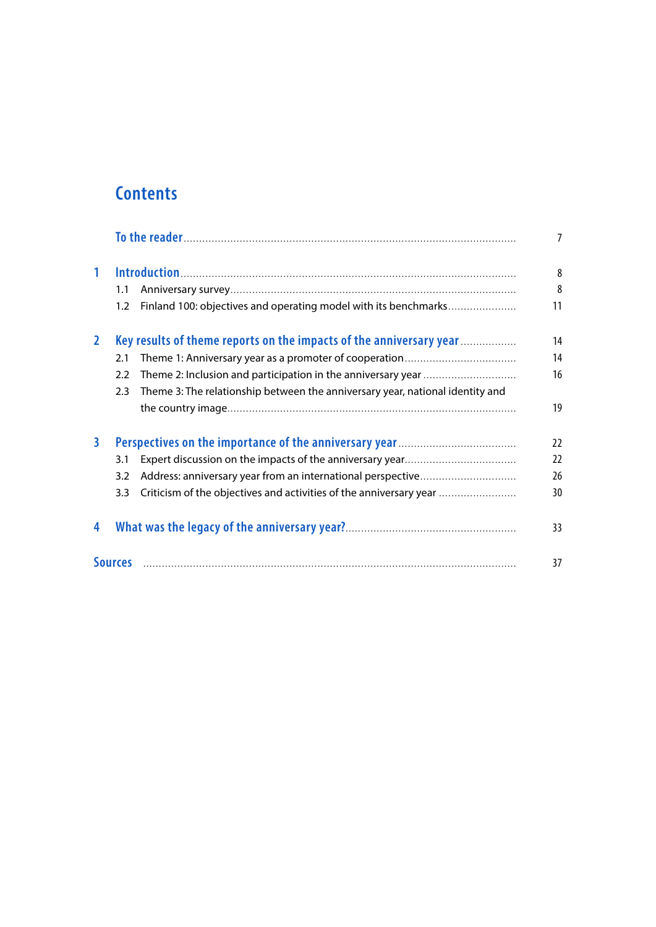## **Contents**

|                         |     |                                                                               | $\overline{7}$ |
|-------------------------|-----|-------------------------------------------------------------------------------|----------------|
| $\mathbf{1}$            |     |                                                                               | 8              |
|                         | 1.1 |                                                                               | 8              |
|                         | 1.2 | Finland 100: objectives and operating model with its benchmarks               | 11             |
| $\overline{2}$          |     | Key results of theme reports on the impacts of the anniversary year           | 14             |
|                         | 2.1 |                                                                               | 14             |
|                         | 2.2 |                                                                               | 16             |
|                         | 2.3 | Theme 3: The relationship between the anniversary year, national identity and |                |
|                         |     |                                                                               | 19             |
| $\overline{\mathbf{3}}$ |     |                                                                               | 22             |
|                         | 3.1 |                                                                               | 22             |
|                         | 3.2 | Address: anniversary year from an international perspective                   | 26             |
|                         | 3.3 | Criticism of the objectives and activities of the anniversary year            | 30             |
| 4                       |     |                                                                               | 33             |
|                         |     |                                                                               | 37             |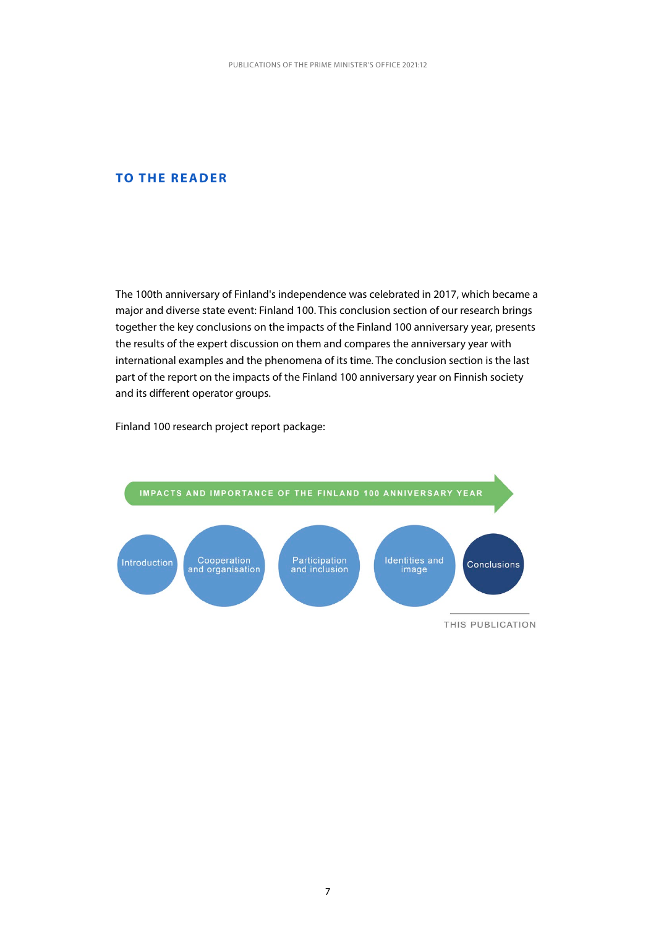#### <span id="page-7-0"></span>**TO THE READER**

The 100th anniversary of Finland's independence was celebrated in 2017, which became a major and diverse state event: Finland 100. This conclusion section of our research brings together the key conclusions on the impacts of the Finland 100 anniversary year, presents the results of the expert discussion on them and compares the anniversary year with international examples and the phenomena of its time. The conclusion section is the last part of the report on the impacts of the Finland 100 anniversary year on Finnish society and its different operator groups.

Finland 100 research project report package:

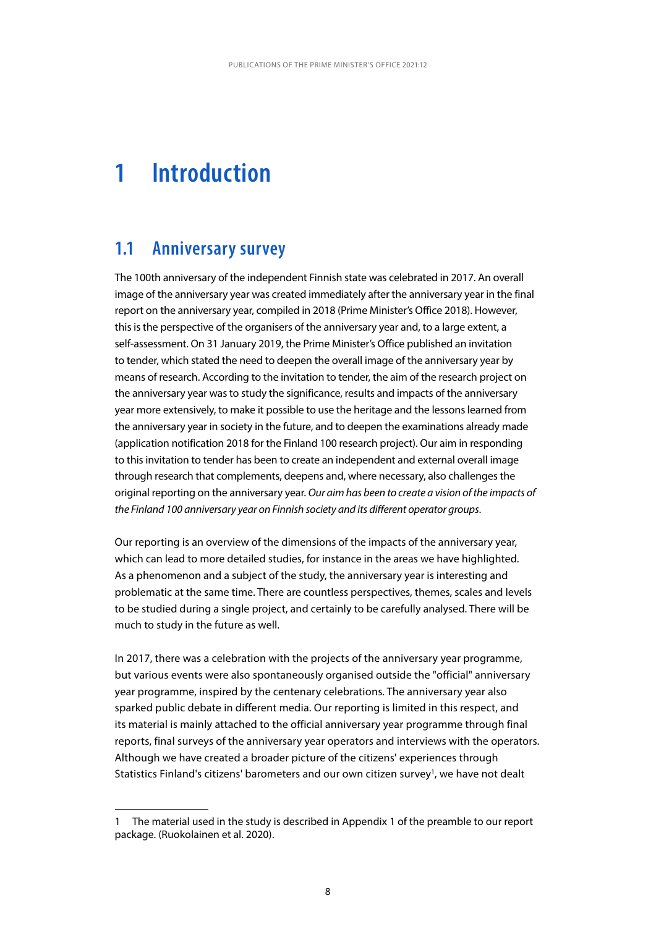## <span id="page-8-0"></span>**1 Introduction**

### **1.1 Anniversary survey**

The 100th anniversary of the independent Finnish state was celebrated in 2017. An overall image of the anniversary year was created immediately after the anniversary year in the final report on the anniversary year, compiled in 2018 (Prime Minister's Office 2018). However, this is the perspective of the organisers of the anniversary year and, to a large extent, a self-assessment. On 31 January 2019, the Prime Minister's Office published an invitation to tender, which stated the need to deepen the overall image of the anniversary year by means of research. According to the invitation to tender, the aim of the research project on the anniversary year was to study the significance, results and impacts of the anniversary year more extensively, to make it possible to use the heritage and the lessons learned from the anniversary year in society in the future, and to deepen the examinations already made (application notification 2018 for the Finland 100 research project). Our aim in responding to this invitation to tender has been to create an independent and external overall image through research that complements, deepens and, where necessary, also challenges the original reporting on the anniversary year. *Our aim has been to create a vision of the impacts of the Finland 100 anniversary year on Finnish society and its different operator groups*.

Our reporting is an overview of the dimensions of the impacts of the anniversary year, which can lead to more detailed studies, for instance in the areas we have highlighted. As a phenomenon and a subject of the study, the anniversary year is interesting and problematic at the same time. There are countless perspectives, themes, scales and levels to be studied during a single project, and certainly to be carefully analysed. There will be much to study in the future as well.

In 2017, there was a celebration with the projects of the anniversary year programme, but various events were also spontaneously organised outside the "official" anniversary year programme, inspired by the centenary celebrations. The anniversary year also sparked public debate in different media. Our reporting is limited in this respect, and its material is mainly attached to the official anniversary year programme through final reports, final surveys of the anniversary year operators and interviews with the operators. Although we have created a broader picture of the citizens' experiences through Statistics Finland's citizens' barometers and our own citizen survey<sup>1</sup>, we have not dealt

<sup>1</sup> The material used in the study is described in Appendix 1 of the preamble to our report package. (Ruokolainen et al. 2020).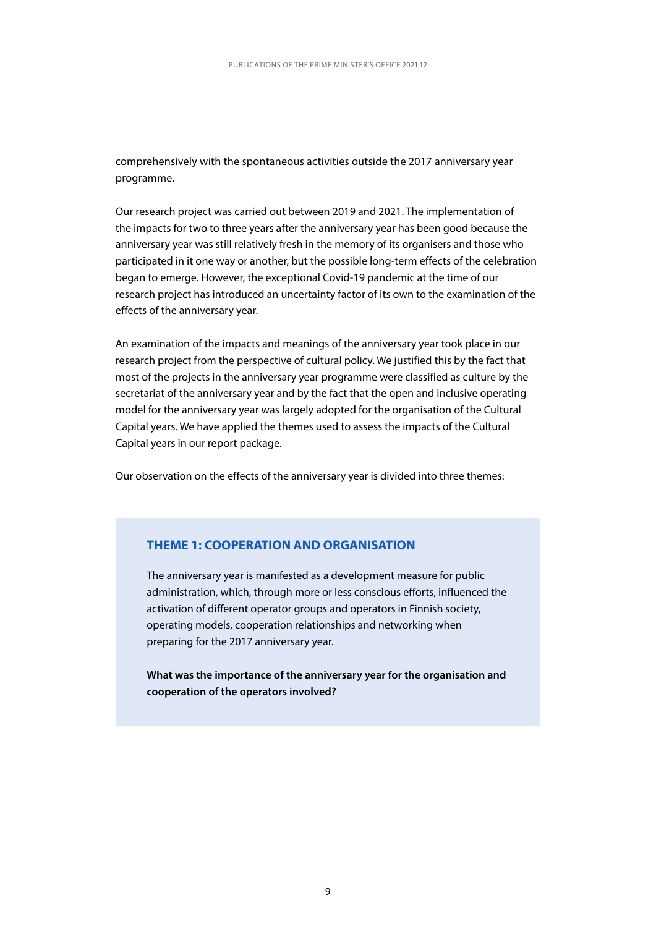comprehensively with the spontaneous activities outside the 2017 anniversary year programme.

Our research project was carried out between 2019 and 2021. The implementation of the impacts for two to three years after the anniversary year has been good because the anniversary year was still relatively fresh in the memory of its organisers and those who participated in it one way or another, but the possible long-term effects of the celebration began to emerge. However, the exceptional Covid-19 pandemic at the time of our research project has introduced an uncertainty factor of its own to the examination of the effects of the anniversary year.

An examination of the impacts and meanings of the anniversary year took place in our research project from the perspective of cultural policy. We justified this by the fact that most of the projects in the anniversary year programme were classified as culture by the secretariat of the anniversary year and by the fact that the open and inclusive operating model for the anniversary year was largely adopted for the organisation of the Cultural Capital years. We have applied the themes used to assess the impacts of the Cultural Capital years in our report package.

Our observation on the effects of the anniversary year is divided into three themes:

#### **THEME 1: COOPERATION AND ORGANISATION**

The anniversary year is manifested as a development measure for public administration, which, through more or less conscious efforts, influenced the activation of different operator groups and operators in Finnish society, operating models, cooperation relationships and networking when preparing for the 2017 anniversary year.

**What was the importance of the anniversary year for the organisation and cooperation of the operators involved?**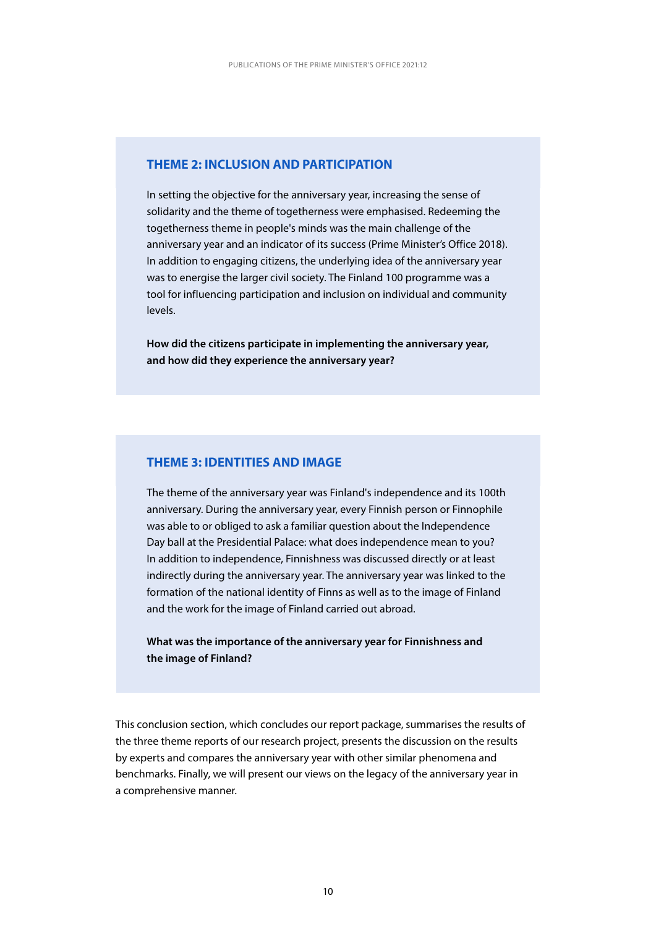#### **THEME 2: INCLUSION AND PARTICIPATION**

In setting the objective for the anniversary year, increasing the sense of solidarity and the theme of togetherness were emphasised. Redeeming the togetherness theme in people's minds was the main challenge of the anniversary year and an indicator of its success (Prime Minister's Office 2018). In addition to engaging citizens, the underlying idea of the anniversary year was to energise the larger civil society. The Finland 100 programme was a tool for influencing participation and inclusion on individual and community levels.

**How did the citizens participate in implementing the anniversary year, and how did they experience the anniversary year?**

#### **THEME 3: IDENTITIES AND IMAGE**

The theme of the anniversary year was Finland's independence and its 100th anniversary. During the anniversary year, every Finnish person or Finnophile was able to or obliged to ask a familiar question about the Independence Day ball at the Presidential Palace: what does independence mean to you? In addition to independence, Finnishness was discussed directly or at least indirectly during the anniversary year. The anniversary year was linked to the formation of the national identity of Finns as well as to the image of Finland and the work for the image of Finland carried out abroad.

**What was the importance of the anniversary year for Finnishness and the image of Finland?**

This conclusion section, which concludes our report package, summarises the results of the three theme reports of our research project, presents the discussion on the results by experts and compares the anniversary year with other similar phenomena and benchmarks. Finally, we will present our views on the legacy of the anniversary year in a comprehensive manner.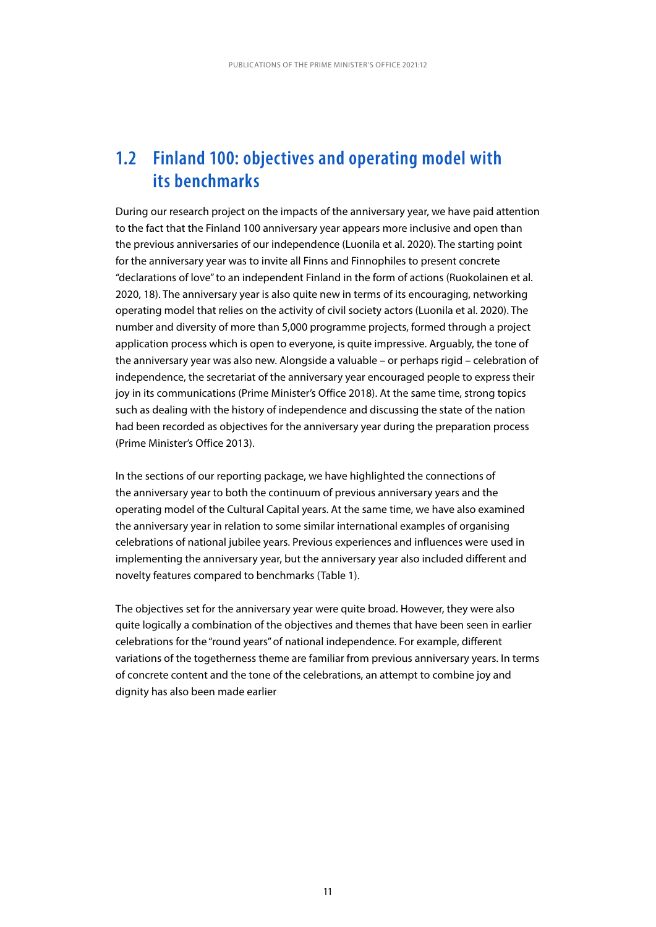## <span id="page-11-0"></span>**1.2 Finland 100: objectives and operating model with its benchmarks**

During our research project on the impacts of the anniversary year, we have paid attention to the fact that the Finland 100 anniversary year appears more inclusive and open than the previous anniversaries of our independence (Luonila et al. 2020). The starting point for the anniversary year was to invite all Finns and Finnophiles to present concrete "declarations of love" to an independent Finland in the form of actions (Ruokolainen et al. 2020, 18). The anniversary year is also quite new in terms of its encouraging, networking operating model that relies on the activity of civil society actors (Luonila et al. 2020). The number and diversity of more than 5,000 programme projects, formed through a project application process which is open to everyone, is quite impressive. Arguably, the tone of the anniversary year was also new. Alongside a valuable – or perhaps rigid – celebration of independence, the secretariat of the anniversary year encouraged people to express their joy in its communications (Prime Minister's Office 2018). At the same time, strong topics such as dealing with the history of independence and discussing the state of the nation had been recorded as objectives for the anniversary year during the preparation process (Prime Minister's Office 2013).

In the sections of our reporting package, we have highlighted the connections of the anniversary year to both the continuum of previous anniversary years and the operating model of the Cultural Capital years. At the same time, we have also examined the anniversary year in relation to some similar international examples of organising celebrations of national jubilee years. Previous experiences and influences were used in implementing the anniversary year, but the anniversary year also included different and novelty features compared to benchmarks (Table 1).

The objectives set for the anniversary year were quite broad. However, they were also quite logically a combination of the objectives and themes that have been seen in earlier celebrations for the "round years" of national independence. For example, different variations of the togetherness theme are familiar from previous anniversary years. In terms of concrete content and the tone of the celebrations, an attempt to combine joy and dignity has also been made earlier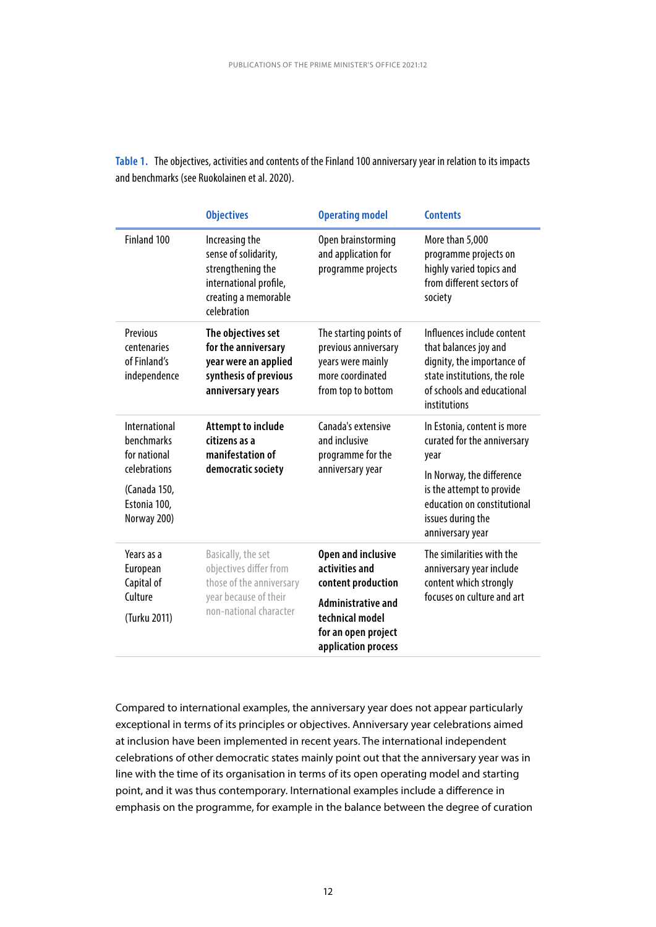|                                                             | <b>Objectives</b>                                                                                                                                | <b>Operating model</b>                                                                                        | <b>Contents</b>                                                                                                                                                 |  |
|-------------------------------------------------------------|--------------------------------------------------------------------------------------------------------------------------------------------------|---------------------------------------------------------------------------------------------------------------|-----------------------------------------------------------------------------------------------------------------------------------------------------------------|--|
| Finland 100                                                 | Increasing the<br>sense of solidarity,<br>strengthening the<br>international profile,<br>creating a memorable<br>celebration                     | Open brainstorming<br>and application for<br>programme projects                                               | More than 5,000<br>programme projects on<br>highly varied topics and<br>from different sectors of<br>society                                                    |  |
| Previous<br>centenaries<br>of Finland's<br>independence     | The objectives set<br>for the anniversary<br>year were an applied<br>synthesis of previous<br>anniversary years                                  | The starting points of<br>previous anniversary<br>years were mainly<br>more coordinated<br>from top to bottom | Influences include content<br>that balances joy and<br>dignity, the importance of<br>state institutions, the role<br>of schools and educational<br>institutions |  |
| International<br>benchmarks<br>for national<br>celebrations | Canada's extensive<br><b>Attempt to include</b><br>and inclusive<br>citizens as a<br>manifestation of<br>programme for the<br>democratic society | In Estonia, content is more<br>curated for the anniversary<br>year                                            |                                                                                                                                                                 |  |
| (Canada 150,<br>Estonia 100,<br>Norway 200)                 |                                                                                                                                                  | anniversary year                                                                                              | In Norway, the difference<br>is the attempt to provide<br>education on constitutional<br>issues during the<br>anniversary year                                  |  |
| Years as a<br>European<br>Capital of                        | Basically, the set<br>objectives differ from<br>those of the anniversary                                                                         | <b>Open and inclusive</b><br>activities and<br>content production                                             | The similarities with the<br>anniversary year include<br>content which strongly                                                                                 |  |
| Culture<br>(Turku 2011)                                     | year because of their<br>non-national character                                                                                                  | <b>Administrative and</b><br>technical model<br>for an open project<br>application process                    | focuses on culture and art                                                                                                                                      |  |

**Table 1.** The objectives, activities and contents of the Finland 100 anniversary year in relation to its impacts and benchmarks (see Ruokolainen et al. 2020).

Compared to international examples, the anniversary year does not appear particularly exceptional in terms of its principles or objectives. Anniversary year celebrations aimed at inclusion have been implemented in recent years. The international independent celebrations of other democratic states mainly point out that the anniversary year was in line with the time of its organisation in terms of its open operating model and starting point, and it was thus contemporary. International examples include a difference in emphasis on the programme, for example in the balance between the degree of curation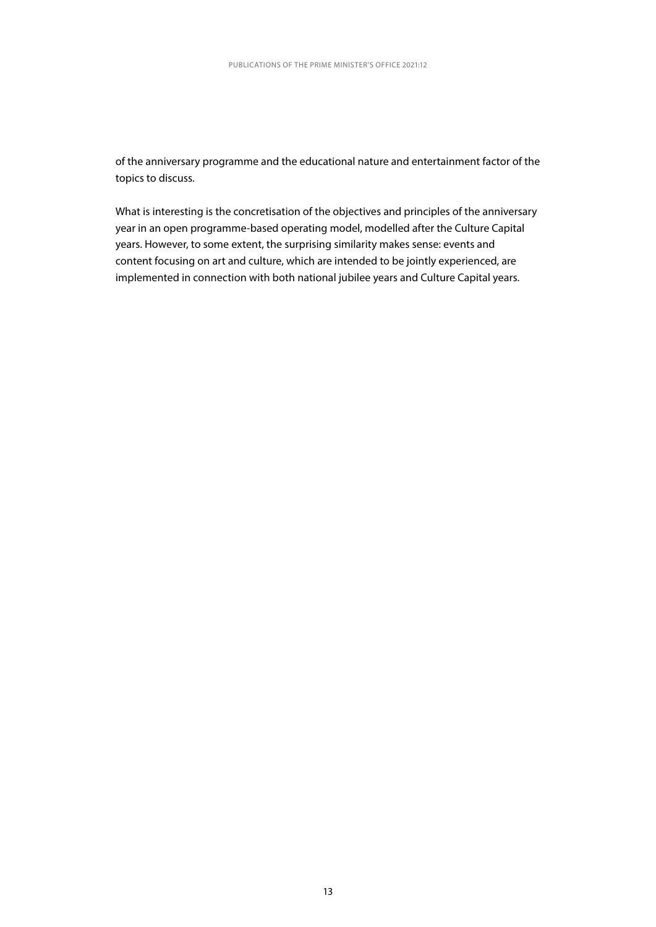of the anniversary programme and the educational nature and entertainment factor of the topics to discuss.

What is interesting is the concretisation of the objectives and principles of the anniversary year in an open programme-based operating model, modelled after the Culture Capital years. However, to some extent, the surprising similarity makes sense: events and content focusing on art and culture, which are intended to be jointly experienced, are implemented in connection with both national jubilee years and Culture Capital years.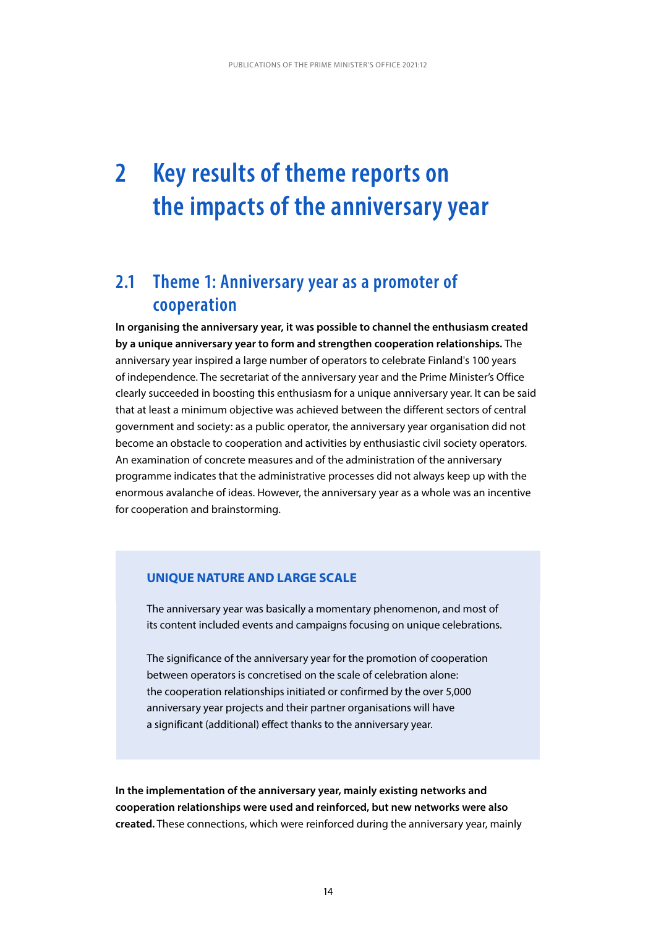## <span id="page-14-0"></span>**2 Key results of theme reports on the impacts of the anniversary year**

## **2.1 Theme 1: Anniversary year as a promoter of cooperation**

**In organising the anniversary year, it was possible to channel the enthusiasm created by a unique anniversary year to form and strengthen cooperation relationships.** The anniversary year inspired a large number of operators to celebrate Finland's 100 years of independence. The secretariat of the anniversary year and the Prime Minister's Office clearly succeeded in boosting this enthusiasm for a unique anniversary year. It can be said that at least a minimum objective was achieved between the different sectors of central government and society: as a public operator, the anniversary year organisation did not become an obstacle to cooperation and activities by enthusiastic civil society operators. An examination of concrete measures and of the administration of the anniversary programme indicates that the administrative processes did not always keep up with the enormous avalanche of ideas. However, the anniversary year as a whole was an incentive for cooperation and brainstorming.

#### **UNIQUE NATURE AND LARGE SCALE**

The anniversary year was basically a momentary phenomenon, and most of its content included events and campaigns focusing on unique celebrations.

The significance of the anniversary year for the promotion of cooperation between operators is concretised on the scale of celebration alone: the cooperation relationships initiated or confirmed by the over 5,000 anniversary year projects and their partner organisations will have a significant (additional) effect thanks to the anniversary year.

**In the implementation of the anniversary year, mainly existing networks and cooperation relationships were used and reinforced, but new networks were also created.** These connections, which were reinforced during the anniversary year, mainly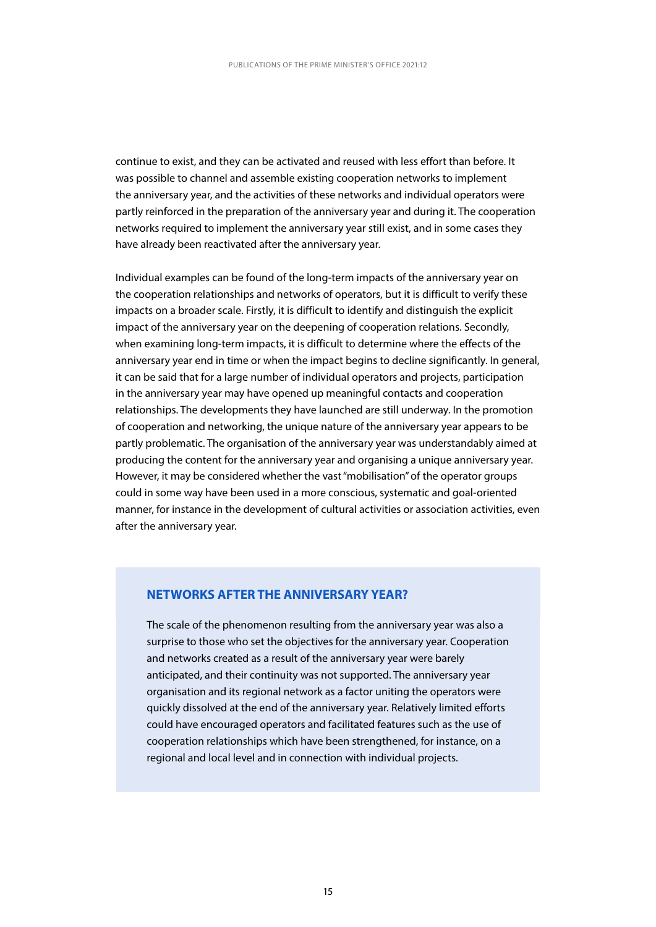continue to exist, and they can be activated and reused with less effort than before. It was possible to channel and assemble existing cooperation networks to implement the anniversary year, and the activities of these networks and individual operators were partly reinforced in the preparation of the anniversary year and during it. The cooperation networks required to implement the anniversary year still exist, and in some cases they have already been reactivated after the anniversary year.

Individual examples can be found of the long-term impacts of the anniversary year on the cooperation relationships and networks of operators, but it is difficult to verify these impacts on a broader scale. Firstly, it is difficult to identify and distinguish the explicit impact of the anniversary year on the deepening of cooperation relations. Secondly, when examining long-term impacts, it is difficult to determine where the effects of the anniversary year end in time or when the impact begins to decline significantly. In general, it can be said that for a large number of individual operators and projects, participation in the anniversary year may have opened up meaningful contacts and cooperation relationships. The developments they have launched are still underway. In the promotion of cooperation and networking, the unique nature of the anniversary year appears to be partly problematic. The organisation of the anniversary year was understandably aimed at producing the content for the anniversary year and organising a unique anniversary year. However, it may be considered whether the vast "mobilisation" of the operator groups could in some way have been used in a more conscious, systematic and goal-oriented manner, for instance in the development of cultural activities or association activities, even after the anniversary year.

#### **NETWORKS AFTER THE ANNIVERSARY YEAR?**

The scale of the phenomenon resulting from the anniversary year was also a surprise to those who set the objectives for the anniversary year. Cooperation and networks created as a result of the anniversary year were barely anticipated, and their continuity was not supported. The anniversary year organisation and its regional network as a factor uniting the operators were quickly dissolved at the end of the anniversary year. Relatively limited efforts could have encouraged operators and facilitated features such as the use of cooperation relationships which have been strengthened, for instance, on a regional and local level and in connection with individual projects.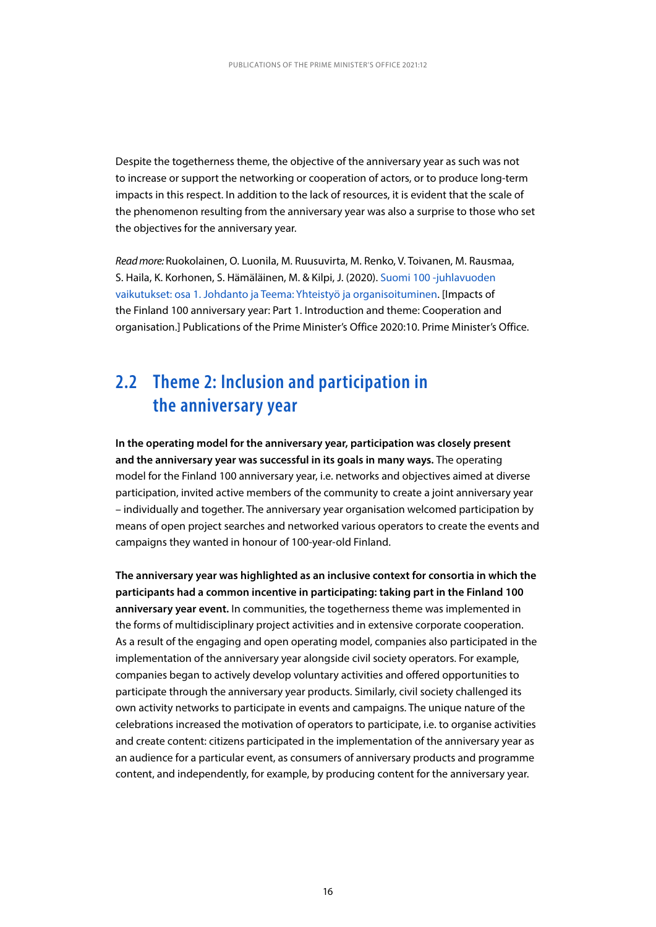<span id="page-16-0"></span>Despite the togetherness theme, the objective of the anniversary year as such was not to increase or support the networking or cooperation of actors, or to produce long-term impacts in this respect. In addition to the lack of resources, it is evident that the scale of the phenomenon resulting from the anniversary year was also a surprise to those who set the objectives for the anniversary year.

*Read more:* Ruokolainen, O. Luonila, M. Ruusuvirta, M. Renko, V. Toivanen, M. Rausmaa, S. Haila, K. Korhonen, S. Hämäläinen, M. & Kilpi, J. (2020). [Suomi 100 -juhlavuoden](http://urn.fi/URN:ISBN:978-952-287-905-9)  [vaikutukset: osa 1. Johdanto ja Teema: Yhteistyö ja organisoituminen.](http://urn.fi/URN:ISBN:978-952-287-905-9) [Impacts of the Finland 100 anniversary year: Part 1. Introduction and theme: Cooperation and organisation.] Publications of the Prime Minister's Office 2020:10. Prime Minister's Office.

## **2.2 Theme 2: Inclusion and participation in the anniversary year**

**In the operating model for the anniversary year, participation was closely present and the anniversary year was successful in its goals in many ways.** The operating model for the Finland 100 anniversary year, i.e. networks and objectives aimed at diverse participation, invited active members of the community to create a joint anniversary year – individually and together. The anniversary year organisation welcomed participation by means of open project searches and networked various operators to create the events and campaigns they wanted in honour of 100-year-old Finland.

**The anniversary year was highlighted as an inclusive context for consortia in which the participants had a common incentive in participating: taking part in the Finland 100 anniversary year event.** In communities, the togetherness theme was implemented in the forms of multidisciplinary project activities and in extensive corporate cooperation. As a result of the engaging and open operating model, companies also participated in the implementation of the anniversary year alongside civil society operators. For example, companies began to actively develop voluntary activities and offered opportunities to participate through the anniversary year products. Similarly, civil society challenged its own activity networks to participate in events and campaigns. The unique nature of the celebrations increased the motivation of operators to participate, i.e. to organise activities and create content: citizens participated in the implementation of the anniversary year as an audience for a particular event, as consumers of anniversary products and programme content, and independently, for example, by producing content for the anniversary year.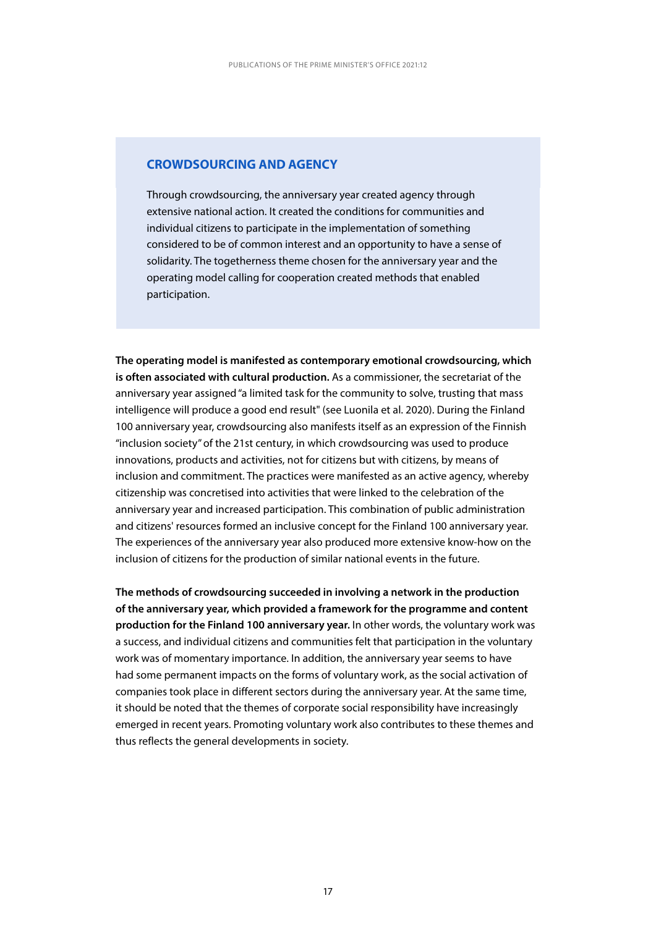#### **CROWDSOURCING AND AGENCY**

Through crowdsourcing, the anniversary year created agency through extensive national action. It created the conditions for communities and individual citizens to participate in the implementation of something considered to be of common interest and an opportunity to have a sense of solidarity. The togetherness theme chosen for the anniversary year and the operating model calling for cooperation created methods that enabled participation.

**The operating model is manifested as contemporary emotional crowdsourcing, which is often associated with cultural production.** As a commissioner, the secretariat of the anniversary year assigned "a limited task for the community to solve, trusting that mass intelligence will produce a good end result" (see Luonila et al. 2020). During the Finland 100 anniversary year, crowdsourcing also manifests itself as an expression of the Finnish "inclusion society" of the 21st century, in which crowdsourcing was used to produce innovations, products and activities, not for citizens but with citizens, by means of inclusion and commitment. The practices were manifested as an active agency, whereby citizenship was concretised into activities that were linked to the celebration of the anniversary year and increased participation. This combination of public administration and citizens' resources formed an inclusive concept for the Finland 100 anniversary year. The experiences of the anniversary year also produced more extensive know-how on the inclusion of citizens for the production of similar national events in the future.

**The methods of crowdsourcing succeeded in involving a network in the production of the anniversary year, which provided a framework for the programme and content production for the Finland 100 anniversary year.** In other words, the voluntary work was a success, and individual citizens and communities felt that participation in the voluntary work was of momentary importance. In addition, the anniversary year seems to have had some permanent impacts on the forms of voluntary work, as the social activation of companies took place in different sectors during the anniversary year. At the same time, it should be noted that the themes of corporate social responsibility have increasingly emerged in recent years. Promoting voluntary work also contributes to these themes and thus reflects the general developments in society.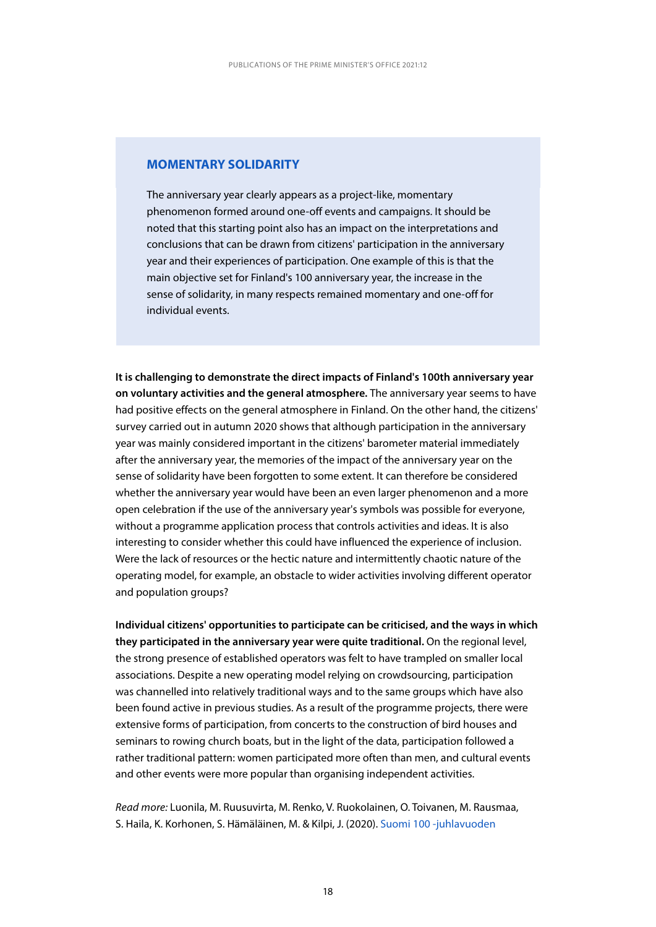#### **MOMENTARY SOLIDARITY**

The anniversary year clearly appears as a project-like, momentary phenomenon formed around one-off events and campaigns. It should be noted that this starting point also has an impact on the interpretations and conclusions that can be drawn from citizens' participation in the anniversary year and their experiences of participation. One example of this is that the main objective set for Finland's 100 anniversary year, the increase in the sense of solidarity, in many respects remained momentary and one-off for individual events.

**It is challenging to demonstrate the direct impacts of Finland's 100th anniversary year on voluntary activities and the general atmosphere.** The anniversary year seems to have had positive effects on the general atmosphere in Finland. On the other hand, the citizens' survey carried out in autumn 2020 shows that although participation in the anniversary year was mainly considered important in the citizens' barometer material immediately after the anniversary year, the memories of the impact of the anniversary year on the sense of solidarity have been forgotten to some extent. It can therefore be considered whether the anniversary year would have been an even larger phenomenon and a more open celebration if the use of the anniversary year's symbols was possible for everyone, without a programme application process that controls activities and ideas. It is also interesting to consider whether this could have influenced the experience of inclusion. Were the lack of resources or the hectic nature and intermittently chaotic nature of the operating model, for example, an obstacle to wider activities involving different operator and population groups?

**Individual citizens' opportunities to participate can be criticised, and the ways in which they participated in the anniversary year were quite traditional.** On the regional level, the strong presence of established operators was felt to have trampled on smaller local associations. Despite a new operating model relying on crowdsourcing, participation was channelled into relatively traditional ways and to the same groups which have also been found active in previous studies. As a result of the programme projects, there were extensive forms of participation, from concerts to the construction of bird houses and seminars to rowing church boats, but in the light of the data, participation followed a rather traditional pattern: women participated more often than men, and cultural events and other events were more popular than organising independent activities.

*Read more:* Luonila, M. Ruusuvirta, M. Renko, V. Ruokolainen, O. Toivanen, M. Rausmaa, S. Haila, K. Korhonen, S. Hämäläinen, M. & Kilpi, J. (2020). [Suomi 100 -juhlavuoden](http://urn.fi/URN:ISBN:978-952-383-053-0)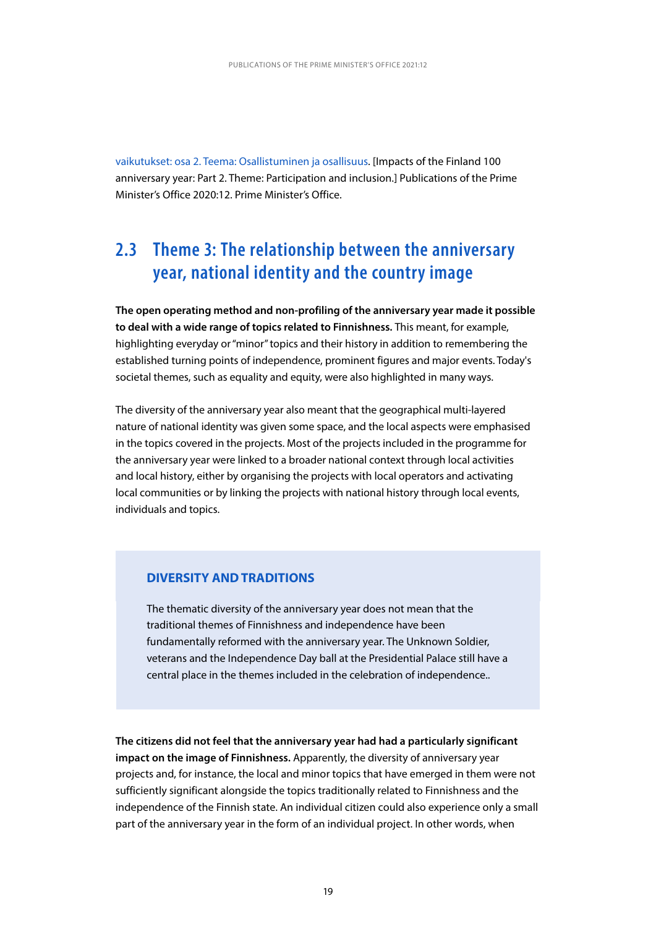<span id="page-19-0"></span>[vaikutukset: osa 2. Teema: Osallistuminen ja osallisuus](http://urn.fi/URN:ISBN:978-952-383-053-0). [Impacts of the Finland 100 anniversary year: Part 2. Theme: Participation and inclusion.] Publications of the Prime Minister's Office 2020:12. Prime Minister's Office.

## **2.3 Theme 3: The relationship between the anniversary year, national identity and the country image**

**The open operating method and non-profiling of the anniversary year made it possible to deal with a wide range of topics related to Finnishness.** This meant, for example, highlighting everyday or "minor" topics and their history in addition to remembering the established turning points of independence, prominent figures and major events. Today's societal themes, such as equality and equity, were also highlighted in many ways.

The diversity of the anniversary year also meant that the geographical multi-layered nature of national identity was given some space, and the local aspects were emphasised in the topics covered in the projects. Most of the projects included in the programme for the anniversary year were linked to a broader national context through local activities and local history, either by organising the projects with local operators and activating local communities or by linking the projects with national history through local events, individuals and topics.

#### **DIVERSITY AND TRADITIONS**

The thematic diversity of the anniversary year does not mean that the traditional themes of Finnishness and independence have been fundamentally reformed with the anniversary year. The Unknown Soldier, veterans and the Independence Day ball at the Presidential Palace still have a central place in the themes included in the celebration of independence..

**The citizens did not feel that the anniversary year had had a particularly significant impact on the image of Finnishness.** Apparently, the diversity of anniversary year projects and, for instance, the local and minor topics that have emerged in them were not sufficiently significant alongside the topics traditionally related to Finnishness and the independence of the Finnish state. An individual citizen could also experience only a small part of the anniversary year in the form of an individual project. In other words, when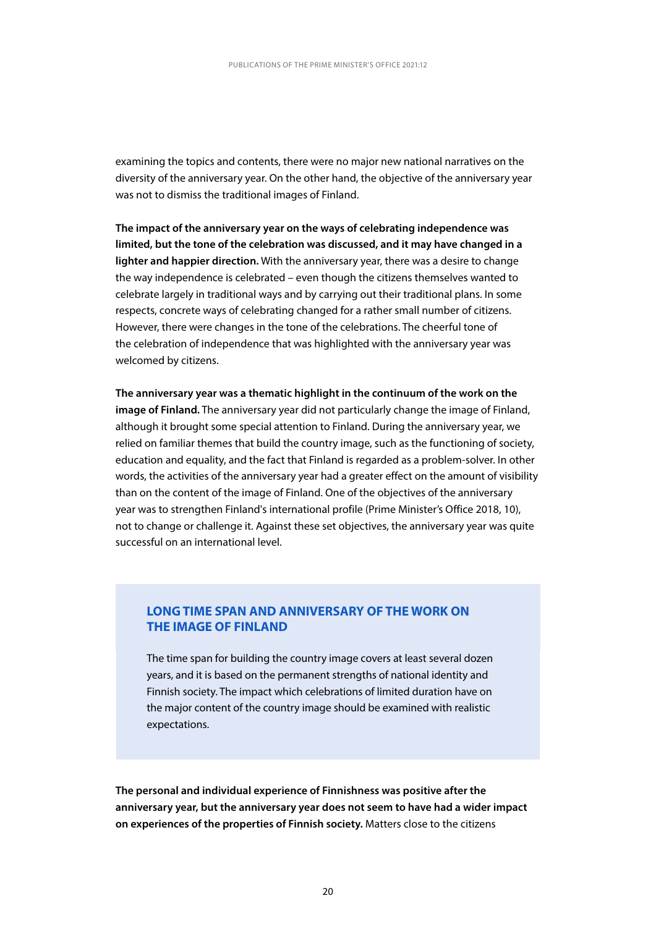examining the topics and contents, there were no major new national narratives on the diversity of the anniversary year. On the other hand, the objective of the anniversary year was not to dismiss the traditional images of Finland.

**The impact of the anniversary year on the ways of celebrating independence was limited, but the tone of the celebration was discussed, and it may have changed in a lighter and happier direction.** With the anniversary year, there was a desire to change the way independence is celebrated – even though the citizens themselves wanted to celebrate largely in traditional ways and by carrying out their traditional plans. In some respects, concrete ways of celebrating changed for a rather small number of citizens. However, there were changes in the tone of the celebrations. The cheerful tone of the celebration of independence that was highlighted with the anniversary year was welcomed by citizens.

**The anniversary year was a thematic highlight in the continuum of the work on the image of Finland.** The anniversary year did not particularly change the image of Finland, although it brought some special attention to Finland. During the anniversary year, we relied on familiar themes that build the country image, such as the functioning of society, education and equality, and the fact that Finland is regarded as a problem-solver. In other words, the activities of the anniversary year had a greater effect on the amount of visibility than on the content of the image of Finland. One of the objectives of the anniversary year was to strengthen Finland's international profile (Prime Minister's Office 2018, 10), not to change or challenge it. Against these set objectives, the anniversary year was quite successful on an international level.

#### **LONG TIME SPAN AND ANNIVERSARY OF THE WORK ON THE IMAGE OF FINLAND**

The time span for building the country image covers at least several dozen years, and it is based on the permanent strengths of national identity and Finnish society. The impact which celebrations of limited duration have on the major content of the country image should be examined with realistic expectations.

**The personal and individual experience of Finnishness was positive after the anniversary year, but the anniversary year does not seem to have had a wider impact on experiences of the properties of Finnish society.** Matters close to the citizens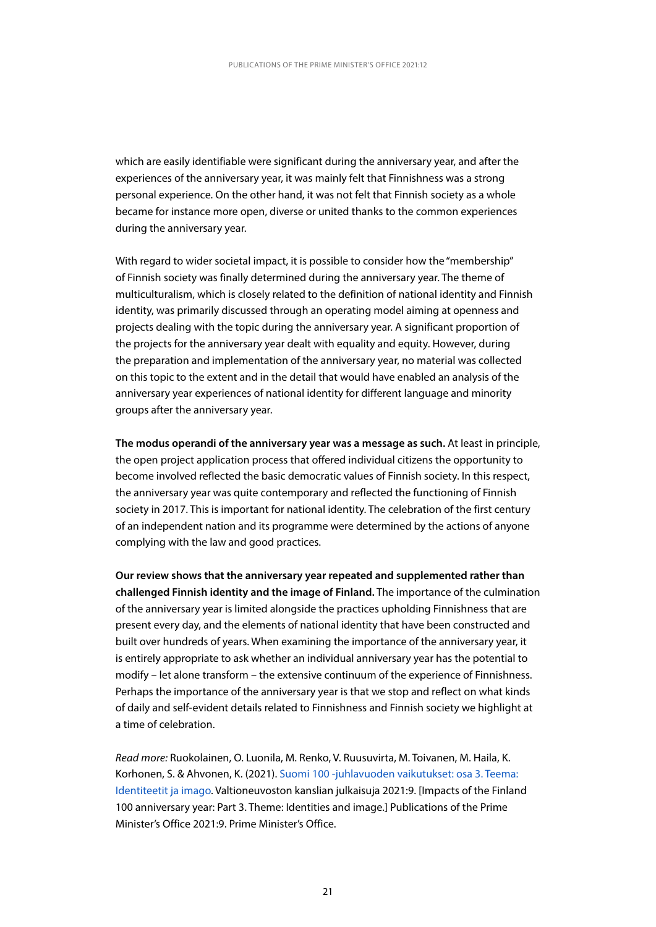which are easily identifiable were significant during the anniversary year, and after the experiences of the anniversary year, it was mainly felt that Finnishness was a strong personal experience. On the other hand, it was not felt that Finnish society as a whole became for instance more open, diverse or united thanks to the common experiences during the anniversary year.

With regard to wider societal impact, it is possible to consider how the "membership" of Finnish society was finally determined during the anniversary year. The theme of multiculturalism, which is closely related to the definition of national identity and Finnish identity, was primarily discussed through an operating model aiming at openness and projects dealing with the topic during the anniversary year. A significant proportion of the projects for the anniversary year dealt with equality and equity. However, during the preparation and implementation of the anniversary year, no material was collected on this topic to the extent and in the detail that would have enabled an analysis of the anniversary year experiences of national identity for different language and minority groups after the anniversary year.

**The modus operandi of the anniversary year was a message as such.** At least in principle, the open project application process that offered individual citizens the opportunity to become involved reflected the basic democratic values of Finnish society. In this respect, the anniversary year was quite contemporary and reflected the functioning of Finnish society in 2017. This is important for national identity. The celebration of the first century of an independent nation and its programme were determined by the actions of anyone complying with the law and good practices.

**Our review shows that the anniversary year repeated and supplemented rather than challenged Finnish identity and the image of Finland.** The importance of the culmination of the anniversary year is limited alongside the practices upholding Finnishness that are present every day, and the elements of national identity that have been constructed and built over hundreds of years. When examining the importance of the anniversary year, it is entirely appropriate to ask whether an individual anniversary year has the potential to modify – let alone transform – the extensive continuum of the experience of Finnishness. Perhaps the importance of the anniversary year is that we stop and reflect on what kinds of daily and self-evident details related to Finnishness and Finnish society we highlight at a time of celebration.

*Read more:* Ruokolainen, O. Luonila, M. Renko, V. Ruusuvirta, M. Toivanen, M. Haila, K. Korhonen, S. & Ahvonen, K. (2021). [Suomi 100 -juhlavuoden vaikutukset: osa 3. Teema:](http://urn.fi/URN:ISBN:978-952-383-103-2)  [Identiteetit ja imago](http://urn.fi/URN:ISBN:978-952-383-103-2). Valtioneuvoston kanslian julkaisuja 2021:9. [Impacts of the Finland 100 anniversary year: Part 3. Theme: Identities and image.] Publications of the Prime Minister's Office 2021:9. Prime Minister's Office.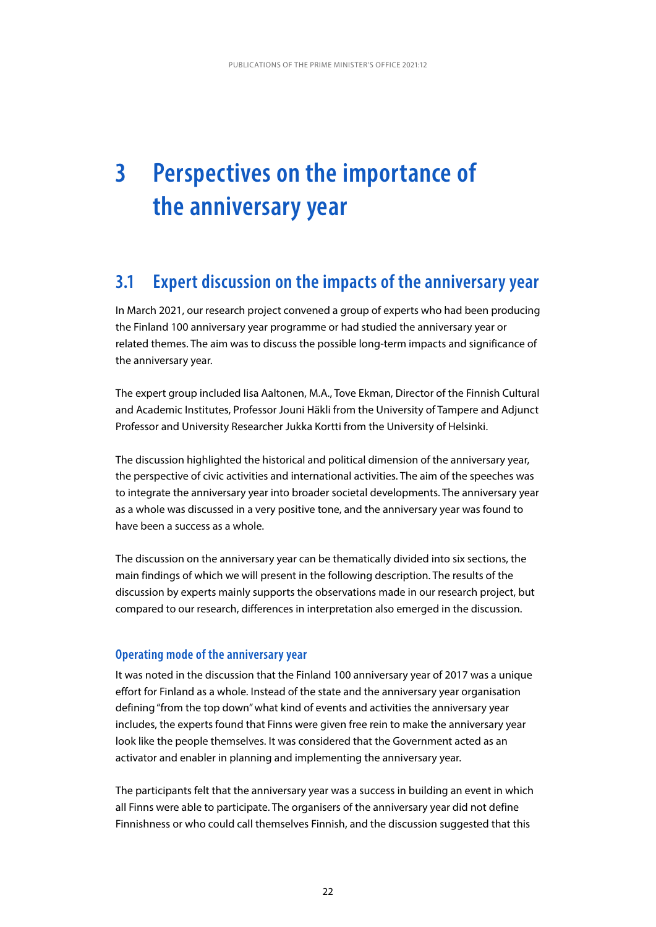## <span id="page-22-0"></span>**3 Perspectives on the importance of the anniversary year**

## **3.1 Expert discussion on the impacts of the anniversary year**

In March 2021, our research project convened a group of experts who had been producing the Finland 100 anniversary year programme or had studied the anniversary year or related themes. The aim was to discuss the possible long-term impacts and significance of the anniversary year.

The expert group included Iisa Aaltonen, M.A., Tove Ekman, Director of the Finnish Cultural and Academic Institutes, Professor Jouni Häkli from the University of Tampere and Adjunct Professor and University Researcher Jukka Kortti from the University of Helsinki.

The discussion highlighted the historical and political dimension of the anniversary year, the perspective of civic activities and international activities. The aim of the speeches was to integrate the anniversary year into broader societal developments. The anniversary year as a whole was discussed in a very positive tone, and the anniversary year was found to have been a success as a whole.

The discussion on the anniversary year can be thematically divided into six sections, the main findings of which we will present in the following description. The results of the discussion by experts mainly supports the observations made in our research project, but compared to our research, differences in interpretation also emerged in the discussion.

#### **Operating mode of the anniversary year**

It was noted in the discussion that the Finland 100 anniversary year of 2017 was a unique effort for Finland as a whole. Instead of the state and the anniversary year organisation defining "from the top down" what kind of events and activities the anniversary year includes, the experts found that Finns were given free rein to make the anniversary year look like the people themselves. It was considered that the Government acted as an activator and enabler in planning and implementing the anniversary year.

The participants felt that the anniversary year was a success in building an event in which all Finns were able to participate. The organisers of the anniversary year did not define Finnishness or who could call themselves Finnish, and the discussion suggested that this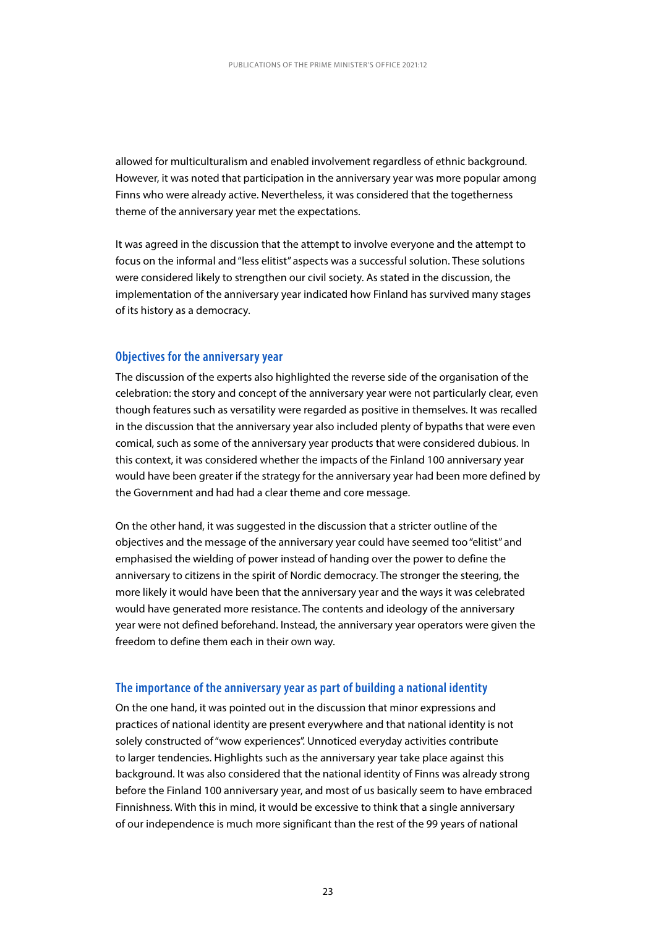allowed for multiculturalism and enabled involvement regardless of ethnic background. However, it was noted that participation in the anniversary year was more popular among Finns who were already active. Nevertheless, it was considered that the togetherness theme of the anniversary year met the expectations.

It was agreed in the discussion that the attempt to involve everyone and the attempt to focus on the informal and "less elitist" aspects was a successful solution. These solutions were considered likely to strengthen our civil society. As stated in the discussion, the implementation of the anniversary year indicated how Finland has survived many stages of its history as a democracy.

#### **Objectives for the anniversary year**

The discussion of the experts also highlighted the reverse side of the organisation of the celebration: the story and concept of the anniversary year were not particularly clear, even though features such as versatility were regarded as positive in themselves. It was recalled in the discussion that the anniversary year also included plenty of bypaths that were even comical, such as some of the anniversary year products that were considered dubious. In this context, it was considered whether the impacts of the Finland 100 anniversary year would have been greater if the strategy for the anniversary year had been more defined by the Government and had had a clear theme and core message.

On the other hand, it was suggested in the discussion that a stricter outline of the objectives and the message of the anniversary year could have seemed too "elitist" and emphasised the wielding of power instead of handing over the power to define the anniversary to citizens in the spirit of Nordic democracy. The stronger the steering, the more likely it would have been that the anniversary year and the ways it was celebrated would have generated more resistance. The contents and ideology of the anniversary year were not defined beforehand. Instead, the anniversary year operators were given the freedom to define them each in their own way.

#### **The importance of the anniversary year as part of building a national identity**

On the one hand, it was pointed out in the discussion that minor expressions and practices of national identity are present everywhere and that national identity is not solely constructed of "wow experiences". Unnoticed everyday activities contribute to larger tendencies. Highlights such as the anniversary year take place against this background. It was also considered that the national identity of Finns was already strong before the Finland 100 anniversary year, and most of us basically seem to have embraced Finnishness. With this in mind, it would be excessive to think that a single anniversary of our independence is much more significant than the rest of the 99 years of national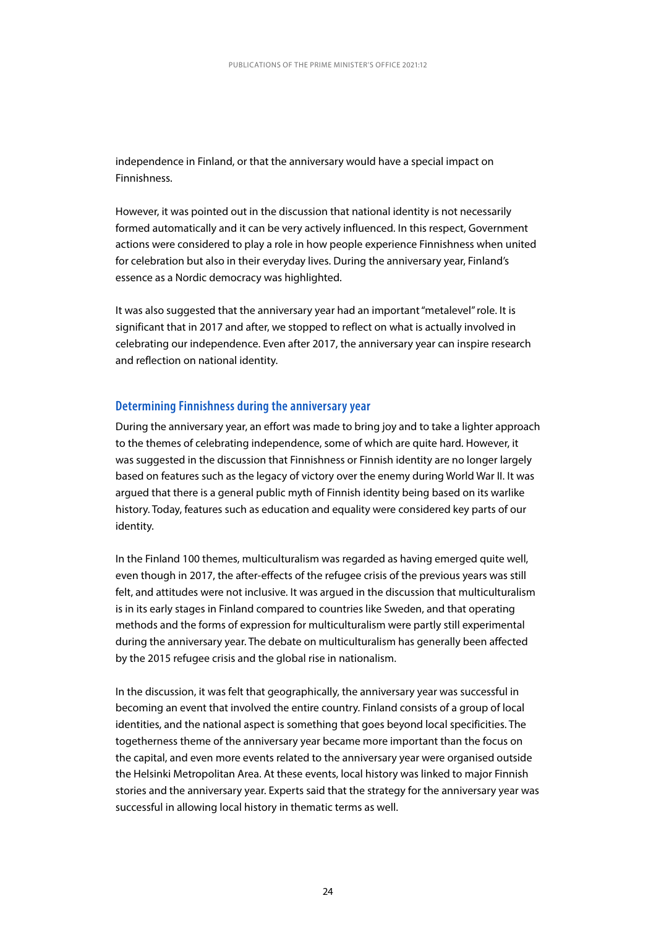independence in Finland, or that the anniversary would have a special impact on Finnishness.

However, it was pointed out in the discussion that national identity is not necessarily formed automatically and it can be very actively influenced. In this respect, Government actions were considered to play a role in how people experience Finnishness when united for celebration but also in their everyday lives. During the anniversary year, Finland's essence as a Nordic democracy was highlighted.

It was also suggested that the anniversary year had an important "metalevel" role. It is significant that in 2017 and after, we stopped to reflect on what is actually involved in celebrating our independence. Even after 2017, the anniversary year can inspire research and reflection on national identity.

#### **Determining Finnishness during the anniversary year**

During the anniversary year, an effort was made to bring joy and to take a lighter approach to the themes of celebrating independence, some of which are quite hard. However, it was suggested in the discussion that Finnishness or Finnish identity are no longer largely based on features such as the legacy of victory over the enemy during World War II. It was argued that there is a general public myth of Finnish identity being based on its warlike history. Today, features such as education and equality were considered key parts of our identity.

In the Finland 100 themes, multiculturalism was regarded as having emerged quite well, even though in 2017, the after-effects of the refugee crisis of the previous years was still felt, and attitudes were not inclusive. It was argued in the discussion that multiculturalism is in its early stages in Finland compared to countries like Sweden, and that operating methods and the forms of expression for multiculturalism were partly still experimental during the anniversary year. The debate on multiculturalism has generally been affected by the 2015 refugee crisis and the global rise in nationalism.

In the discussion, it was felt that geographically, the anniversary year was successful in becoming an event that involved the entire country. Finland consists of a group of local identities, and the national aspect is something that goes beyond local specificities. The togetherness theme of the anniversary year became more important than the focus on the capital, and even more events related to the anniversary year were organised outside the Helsinki Metropolitan Area. At these events, local history was linked to major Finnish stories and the anniversary year. Experts said that the strategy for the anniversary year was successful in allowing local history in thematic terms as well.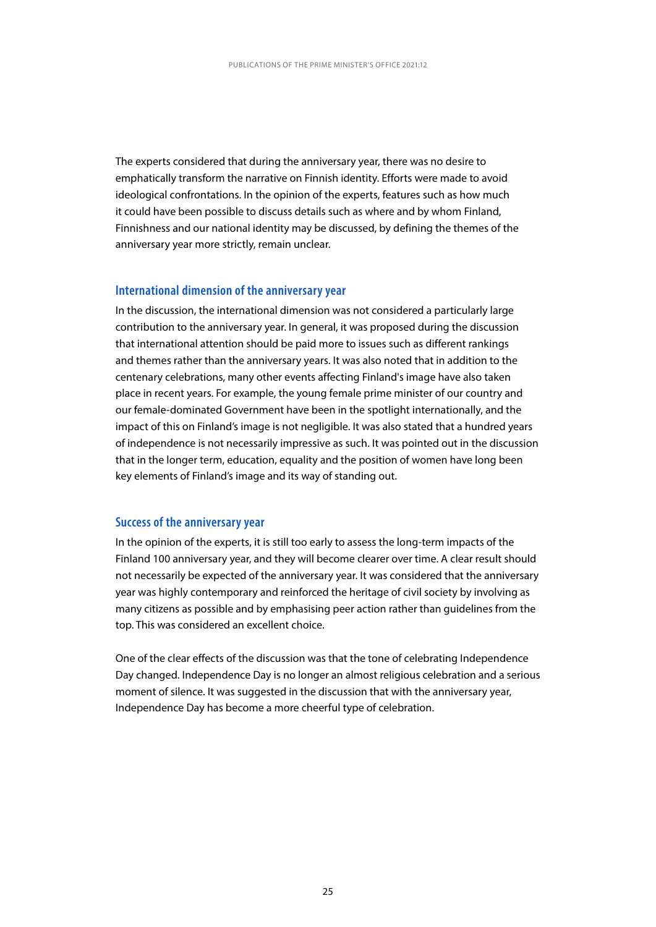The experts considered that during the anniversary year, there was no desire to emphatically transform the narrative on Finnish identity. Efforts were made to avoid ideological confrontations. In the opinion of the experts, features such as how much it could have been possible to discuss details such as where and by whom Finland, Finnishness and our national identity may be discussed, by defining the themes of the anniversary year more strictly, remain unclear.

#### **International dimension of the anniversary year**

In the discussion, the international dimension was not considered a particularly large contribution to the anniversary year. In general, it was proposed during the discussion that international attention should be paid more to issues such as different rankings and themes rather than the anniversary years. It was also noted that in addition to the centenary celebrations, many other events affecting Finland's image have also taken place in recent years. For example, the young female prime minister of our country and our female-dominated Government have been in the spotlight internationally, and the impact of this on Finland's image is not negligible. It was also stated that a hundred years of independence is not necessarily impressive as such. It was pointed out in the discussion that in the longer term, education, equality and the position of women have long been key elements of Finland's image and its way of standing out.

#### **Success of the anniversary year**

In the opinion of the experts, it is still too early to assess the long-term impacts of the Finland 100 anniversary year, and they will become clearer over time. A clear result should not necessarily be expected of the anniversary year. It was considered that the anniversary year was highly contemporary and reinforced the heritage of civil society by involving as many citizens as possible and by emphasising peer action rather than guidelines from the top. This was considered an excellent choice.

One of the clear effects of the discussion was that the tone of celebrating Independence Day changed. Independence Day is no longer an almost religious celebration and a serious moment of silence. It was suggested in the discussion that with the anniversary year, Independence Day has become a more cheerful type of celebration.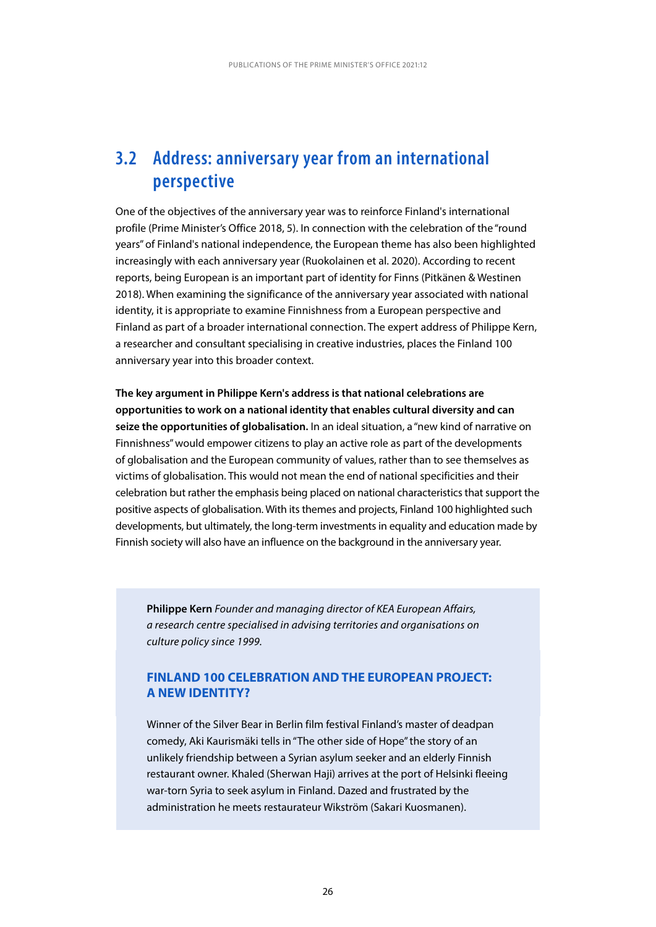## <span id="page-26-0"></span>**3.2 Address: anniversary year from an international perspective**

One of the objectives of the anniversary year was to reinforce Finland's international profile (Prime Minister's Office 2018, 5). In connection with the celebration of the "round years" of Finland's national independence, the European theme has also been highlighted increasingly with each anniversary year (Ruokolainen et al. 2020). According to recent reports, being European is an important part of identity for Finns (Pitkänen & Westinen 2018). When examining the significance of the anniversary year associated with national identity, it is appropriate to examine Finnishness from a European perspective and Finland as part of a broader international connection. The expert address of Philippe Kern, a researcher and consultant specialising in creative industries, places the Finland 100 anniversary year into this broader context.

**The key argument in Philippe Kern's address is that national celebrations are opportunities to work on a national identity that enables cultural diversity and can seize the opportunities of globalisation.** In an ideal situation, a "new kind of narrative on Finnishness" would empower citizens to play an active role as part of the developments of globalisation and the European community of values, rather than to see themselves as victims of globalisation. This would not mean the end of national specificities and their celebration but rather the emphasis being placed on national characteristics that support the positive aspects of globalisation. With its themes and projects, Finland 100 highlighted such developments, but ultimately, the long-term investments in equality and education made by Finnish society will also have an influence on the background in the anniversary year.

**Philippe Kern** *Founder and managing director of KEA European Affairs, a research centre specialised in advising territories and organisations on culture policy since 1999.*

#### **FINLAND 100 CELEBRATION AND THE EUROPEAN PROJECT: A NEW IDENTITY?**

Winner of the Silver Bear in Berlin film festival Finland's master of deadpan comedy, Aki Kaurismäki tells in "The other side of Hope" the story of an unlikely friendship between a Syrian asylum seeker and an elderly Finnish restaurant owner. Khaled (Sherwan Haji) arrives at the port of Helsinki fleeing war-torn Syria to seek asylum in Finland. Dazed and frustrated by the administration he meets restaurateur Wikström (Sakari Kuosmanen).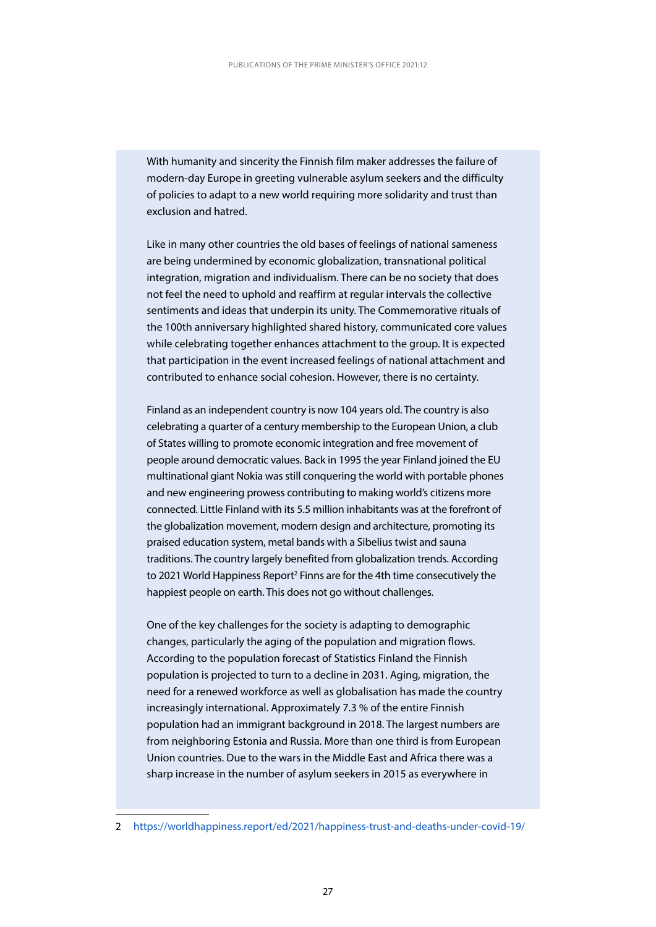With humanity and sincerity the Finnish film maker addresses the failure of modern-day Europe in greeting vulnerable asylum seekers and the difficulty of policies to adapt to a new world requiring more solidarity and trust than exclusion and hatred.

Like in many other countries the old bases of feelings of national sameness are being undermined by economic globalization, transnational political integration, migration and individualism. There can be no society that does not feel the need to uphold and reaffirm at regular intervals the collective sentiments and ideas that underpin its unity. The Commemorative rituals of the 100th anniversary highlighted shared history, communicated core values while celebrating together enhances attachment to the group. It is expected that participation in the event increased feelings of national attachment and contributed to enhance social cohesion. However, there is no certainty.

Finland as an independent country is now 104 years old. The country is also celebrating a quarter of a century membership to the European Union, a club of States willing to promote economic integration and free movement of people around democratic values. Back in 1995 the year Finland joined the EU multinational giant Nokia was still conquering the world with portable phones and new engineering prowess contributing to making world's citizens more connected. Little Finland with its 5.5 million inhabitants was at the forefront of the globalization movement, modern design and architecture, promoting its praised education system, metal bands with a Sibelius twist and sauna traditions. The country largely benefited from globalization trends. According to 2021 World Happiness Report<sup>2</sup> Finns are for the 4th time consecutively the happiest people on earth. This does not go without challenges.

One of the key challenges for the society is adapting to demographic changes, particularly the aging of the population and migration flows. According to the population forecast of Statistics Finland the Finnish population is projected to turn to a decline in 2031. Aging, migration, the need for a renewed workforce as well as globalisation has made the country increasingly international. Approximately 7.3 % of the entire Finnish population had an immigrant background in 2018. The largest numbers are from neighboring Estonia and Russia. More than one third is from European Union countries. Due to the wars in the Middle East and Africa there was a sharp increase in the number of asylum seekers in 2015 as everywhere in

<sup>2</sup> <https://worldhappiness.report/ed/2021/happiness-trust-and-deaths-under-covid-19/>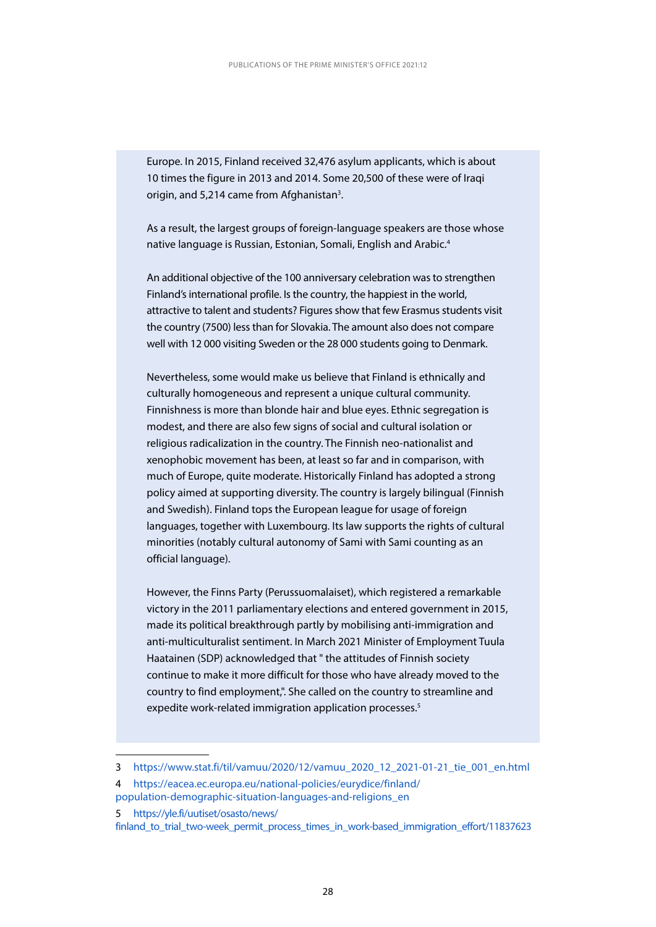Europe. In 2015, Finland received 32,476 asylum applicants, which is about 10 times the figure in 2013 and 2014. Some 20,500 of these were of Iraqi origin, and 5,214 came from Afghanistan<sup>3</sup>.

As a result, the largest groups of foreign-language speakers are those whose native language is Russian, Estonian, Somali, English and Arabic.4

An additional objective of the 100 anniversary celebration was to strengthen Finland's international profile. Is the country, the happiest in the world, attractive to talent and students? Figures show that few Erasmus students visit the country (7500) less than for Slovakia. The amount also does not compare well with 12 000 visiting Sweden or the 28 000 students going to Denmark.

Nevertheless, some would make us believe that Finland is ethnically and culturally homogeneous and represent a unique cultural community. Finnishness is more than blonde hair and blue eyes. Ethnic segregation is modest, and there are also few signs of social and cultural isolation or religious radicalization in the country. The Finnish neo-nationalist and xenophobic movement has been, at least so far and in comparison, with much of Europe, quite moderate. Historically Finland has adopted a strong policy aimed at supporting diversity. The country is largely bilingual (Finnish and Swedish). Finland tops the European league for usage of foreign languages, together with Luxembourg. Its law supports the rights of cultural minorities (notably cultural autonomy of Sami with Sami counting as an official language).

However, the Finns Party (Perussuomalaiset), which registered a remarkable victory in the 2011 parliamentary elections and entered government in 2015, made its political breakthrough partly by mobilising anti-immigration and anti-multiculturalist sentiment. In March 2021 Minister of Employment Tuula Haatainen (SDP) acknowledged that " the attitudes of Finnish society continue to make it more difficult for those who have already moved to the country to find employment,". She called on the country to streamline and expedite work-related immigration application processes.<sup>5</sup>

finland to trial two-week permit process times in work-based immigration effort/11837623

<sup>3</sup> [https://www.stat.fi/til/vamuu/2020/12/vamuu\\_2020\\_12\\_2021-01-21\\_tie\\_001\\_en.html](https://www.stat.fi/til/vamuu/2020/12/vamuu_2020_12_2021-01-21_tie_001_en.html)

<sup>4</sup> [https://eacea.ec.europa.eu/national-policies/eurydice/finland/](  https://eacea.ec.europa.eu/national-policies/eurydice/finland/population-demographic-situation-languages-and-religions_en) [population-demographic-situation-languages-and-religions\\_en](  https://eacea.ec.europa.eu/national-policies/eurydice/finland/population-demographic-situation-languages-and-religions_en)

<sup>5</sup> [https://yle.fi/uutiset/osasto/news/](https://yle.fi/uutiset/osasto/news/finland_to_trial_two-week_permit_process_times_in_work-based_immi)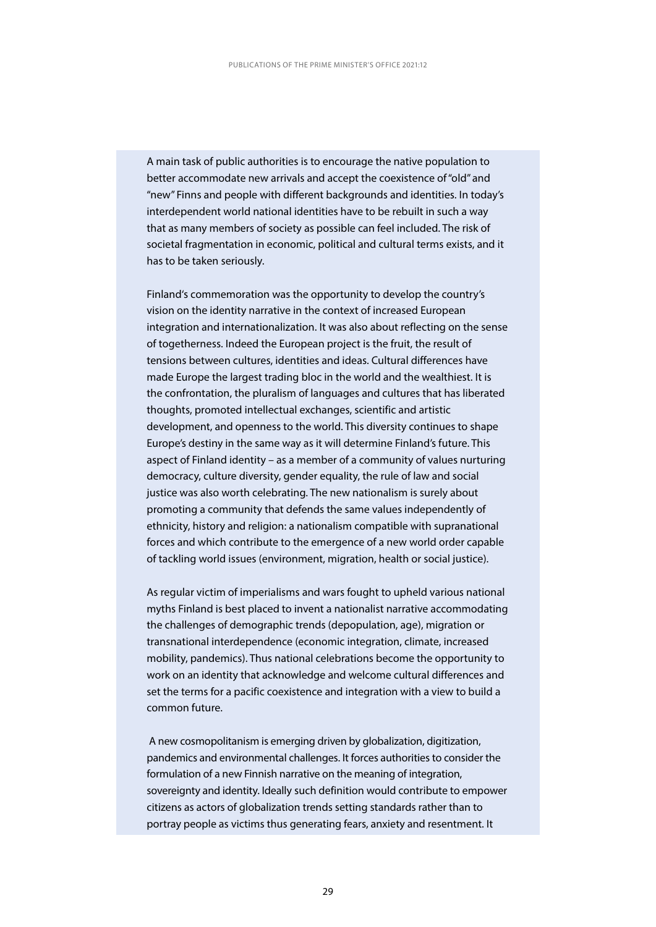A main task of public authorities is to encourage the native population to better accommodate new arrivals and accept the coexistence of "old" and "new" Finns and people with different backgrounds and identities. In today's interdependent world national identities have to be rebuilt in such a way that as many members of society as possible can feel included. The risk of societal fragmentation in economic, political and cultural terms exists, and it has to be taken seriously.

Finland's commemoration was the opportunity to develop the country's vision on the identity narrative in the context of increased European integration and internationalization. It was also about reflecting on the sense of togetherness. Indeed the European project is the fruit, the result of tensions between cultures, identities and ideas. Cultural differences have made Europe the largest trading bloc in the world and the wealthiest. It is the confrontation, the pluralism of languages and cultures that has liberated thoughts, promoted intellectual exchanges, scientific and artistic development, and openness to the world. This diversity continues to shape Europe's destiny in the same way as it will determine Finland's future. This aspect of Finland identity – as a member of a community of values nurturing democracy, culture diversity, gender equality, the rule of law and social justice was also worth celebrating. The new nationalism is surely about promoting a community that defends the same values independently of ethnicity, history and religion: a nationalism compatible with supranational forces and which contribute to the emergence of a new world order capable of tackling world issues (environment, migration, health or social justice).

As regular victim of imperialisms and wars fought to upheld various national myths Finland is best placed to invent a nationalist narrative accommodating the challenges of demographic trends (depopulation, age), migration or transnational interdependence (economic integration, climate, increased mobility, pandemics). Thus national celebrations become the opportunity to work on an identity that acknowledge and welcome cultural differences and set the terms for a pacific coexistence and integration with a view to build a common future.

 A new cosmopolitanism is emerging driven by globalization, digitization, pandemics and environmental challenges. It forces authorities to consider the formulation of a new Finnish narrative on the meaning of integration, sovereignty and identity. Ideally such definition would contribute to empower citizens as actors of globalization trends setting standards rather than to portray people as victims thus generating fears, anxiety and resentment. It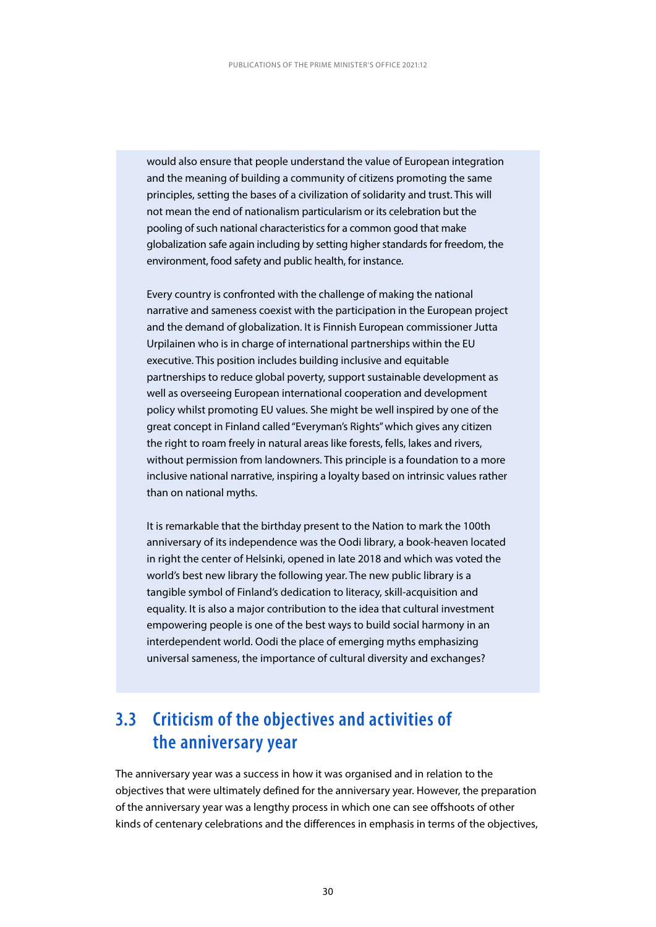<span id="page-30-0"></span>would also ensure that people understand the value of European integration and the meaning of building a community of citizens promoting the same principles, setting the bases of a civilization of solidarity and trust. This will not mean the end of nationalism particularism or its celebration but the pooling of such national characteristics for a common good that make globalization safe again including by setting higher standards for freedom, the environment, food safety and public health, for instance.

Every country is confronted with the challenge of making the national narrative and sameness coexist with the participation in the European project and the demand of globalization. It is Finnish European commissioner Jutta Urpilainen who is in charge of international partnerships within the EU executive. This position includes building inclusive and equitable partnerships to reduce global poverty, support sustainable development as well as overseeing European international cooperation and development policy whilst promoting EU values. She might be well inspired by one of the great concept in Finland called "Everyman's Rights" which gives any citizen the right to roam freely in natural areas like forests, fells, lakes and rivers, without permission from landowners. This principle is a foundation to a more inclusive national narrative, inspiring a loyalty based on intrinsic values rather than on national myths.

It is remarkable that the birthday present to the Nation to mark the 100th anniversary of its independence was the Oodi library, a book-heaven located in right the center of Helsinki, opened in late 2018 and which was voted the world's best new library the following year. The new public library is a tangible symbol of Finland's dedication to literacy, skill-acquisition and equality. It is also a major contribution to the idea that cultural investment empowering people is one of the best ways to build social harmony in an interdependent world. Oodi the place of emerging myths emphasizing universal sameness, the importance of cultural diversity and exchanges?

## **3.3 Criticism of the objectives and activities of the anniversary year**

The anniversary year was a success in how it was organised and in relation to the objectives that were ultimately defined for the anniversary year. However, the preparation of the anniversary year was a lengthy process in which one can see offshoots of other kinds of centenary celebrations and the differences in emphasis in terms of the objectives,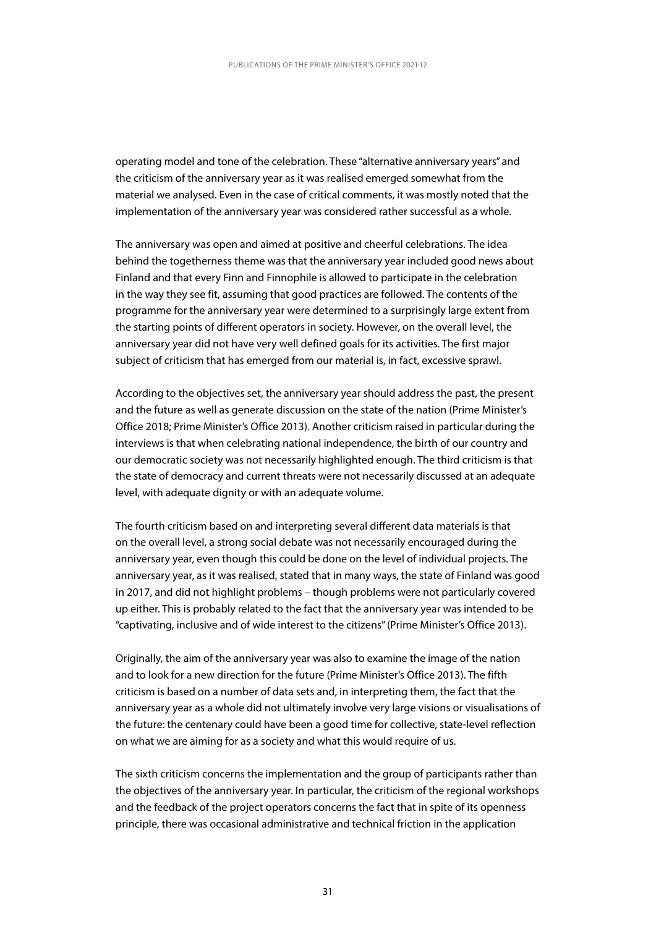operating model and tone of the celebration. These "alternative anniversary years" and the criticism of the anniversary year as it was realised emerged somewhat from the material we analysed. Even in the case of critical comments, it was mostly noted that the implementation of the anniversary year was considered rather successful as a whole.

The anniversary was open and aimed at positive and cheerful celebrations. The idea behind the togetherness theme was that the anniversary year included good news about Finland and that every Finn and Finnophile is allowed to participate in the celebration in the way they see fit, assuming that good practices are followed. The contents of the programme for the anniversary year were determined to a surprisingly large extent from the starting points of different operators in society. However, on the overall level, the anniversary year did not have very well defined goals for its activities. The first major subject of criticism that has emerged from our material is, in fact, excessive sprawl.

According to the objectives set, the anniversary year should address the past, the present and the future as well as generate discussion on the state of the nation (Prime Minister's Office 2018; Prime Minister's Office 2013). Another criticism raised in particular during the interviews is that when celebrating national independence, the birth of our country and our democratic society was not necessarily highlighted enough. The third criticism is that the state of democracy and current threats were not necessarily discussed at an adequate level, with adequate dignity or with an adequate volume.

The fourth criticism based on and interpreting several different data materials is that on the overall level, a strong social debate was not necessarily encouraged during the anniversary year, even though this could be done on the level of individual projects. The anniversary year, as it was realised, stated that in many ways, the state of Finland was good in 2017, and did not highlight problems – though problems were not particularly covered up either. This is probably related to the fact that the anniversary year was intended to be "captivating, inclusive and of wide interest to the citizens" (Prime Minister's Office 2013).

Originally, the aim of the anniversary year was also to examine the image of the nation and to look for a new direction for the future (Prime Minister's Office 2013). The fifth criticism is based on a number of data sets and, in interpreting them, the fact that the anniversary year as a whole did not ultimately involve very large visions or visualisations of the future: the centenary could have been a good time for collective, state-level reflection on what we are aiming for as a society and what this would require of us.

The sixth criticism concerns the implementation and the group of participants rather than the objectives of the anniversary year. In particular, the criticism of the regional workshops and the feedback of the project operators concerns the fact that in spite of its openness principle, there was occasional administrative and technical friction in the application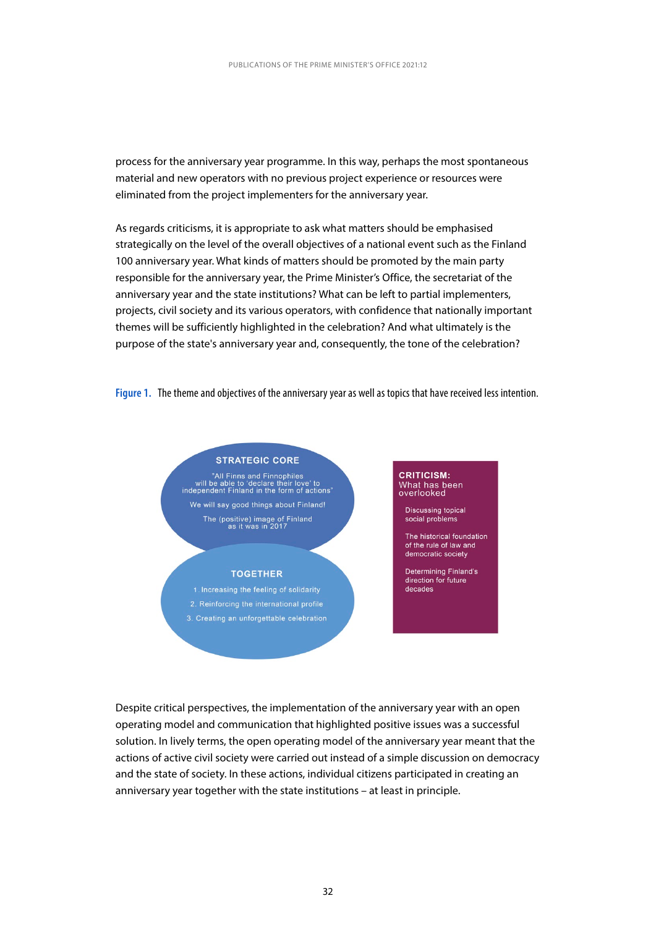process for the anniversary year programme. In this way, perhaps the most spontaneous material and new operators with no previous project experience or resources were eliminated from the project implementers for the anniversary year.

As regards criticisms, it is appropriate to ask what matters should be emphasised strategically on the level of the overall objectives of a national event such as the Finland 100 anniversary year. What kinds of matters should be promoted by the main party responsible for the anniversary year, the Prime Minister's Office, the secretariat of the anniversary year and the state institutions? What can be left to partial implementers, projects, civil society and its various operators, with confidence that nationally important themes will be sufficiently highlighted in the celebration? And what ultimately is the purpose of the state's anniversary year and, consequently, the tone of the celebration?

**Figure 1.** The theme and objectives of the anniversary year as well as topics that have received less intention.



Despite critical perspectives, the implementation of the anniversary year with an open operating model and communication that highlighted positive issues was a successful solution. In lively terms, the open operating model of the anniversary year meant that the actions of active civil society were carried out instead of a simple discussion on democracy and the state of society. In these actions, individual citizens participated in creating an anniversary year together with the state institutions – at least in principle.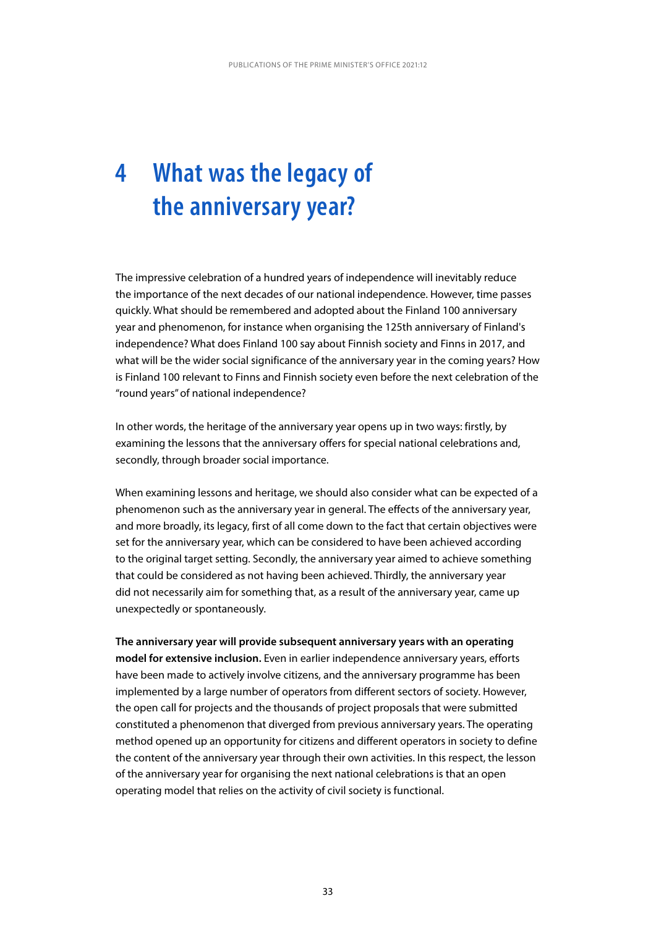## **4 What was the legacy of the anniversary year?**

The impressive celebration of a hundred years of independence will inevitably reduce the importance of the next decades of our national independence. However, time passes quickly. What should be remembered and adopted about the Finland 100 anniversary year and phenomenon, for instance when organising the 125th anniversary of Finland's independence? What does Finland 100 say about Finnish society and Finns in 2017, and what will be the wider social significance of the anniversary year in the coming years? How is Finland 100 relevant to Finns and Finnish society even before the next celebration of the "round years" of national independence?

In other words, the heritage of the anniversary year opens up in two ways: firstly, by examining the lessons that the anniversary offers for special national celebrations and, secondly, through broader social importance.

When examining lessons and heritage, we should also consider what can be expected of a phenomenon such as the anniversary year in general. The effects of the anniversary year, and more broadly, its legacy, first of all come down to the fact that certain objectives were set for the anniversary year, which can be considered to have been achieved according to the original target setting. Secondly, the anniversary year aimed to achieve something that could be considered as not having been achieved. Thirdly, the anniversary year did not necessarily aim for something that, as a result of the anniversary year, came up unexpectedly or spontaneously.

**The anniversary year will provide subsequent anniversary years with an operating model for extensive inclusion.** Even in earlier independence anniversary years, efforts have been made to actively involve citizens, and the anniversary programme has been implemented by a large number of operators from different sectors of society. However, the open call for projects and the thousands of project proposals that were submitted constituted a phenomenon that diverged from previous anniversary years. The operating method opened up an opportunity for citizens and different operators in society to define the content of the anniversary year through their own activities. In this respect, the lesson of the anniversary year for organising the next national celebrations is that an open operating model that relies on the activity of civil society is functional.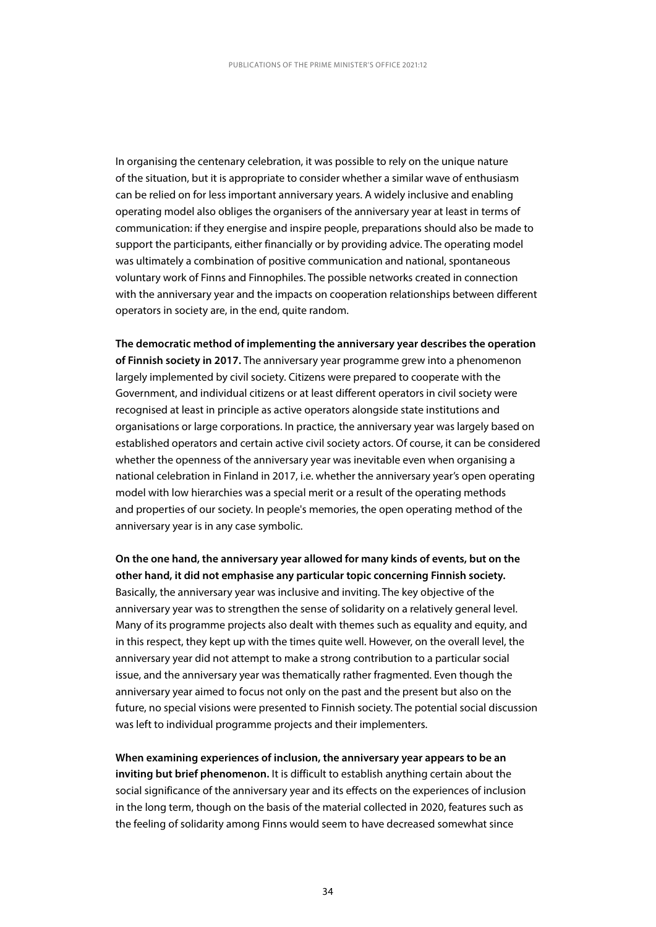In organising the centenary celebration, it was possible to rely on the unique nature of the situation, but it is appropriate to consider whether a similar wave of enthusiasm can be relied on for less important anniversary years. A widely inclusive and enabling operating model also obliges the organisers of the anniversary year at least in terms of communication: if they energise and inspire people, preparations should also be made to support the participants, either financially or by providing advice. The operating model was ultimately a combination of positive communication and national, spontaneous voluntary work of Finns and Finnophiles. The possible networks created in connection with the anniversary year and the impacts on cooperation relationships between different operators in society are, in the end, quite random.

**The democratic method of implementing the anniversary year describes the operation of Finnish society in 2017.** The anniversary year programme grew into a phenomenon largely implemented by civil society. Citizens were prepared to cooperate with the Government, and individual citizens or at least different operators in civil society were recognised at least in principle as active operators alongside state institutions and organisations or large corporations. In practice, the anniversary year was largely based on established operators and certain active civil society actors. Of course, it can be considered whether the openness of the anniversary year was inevitable even when organising a national celebration in Finland in 2017, i.e. whether the anniversary year's open operating model with low hierarchies was a special merit or a result of the operating methods and properties of our society. In people's memories, the open operating method of the anniversary year is in any case symbolic.

**On the one hand, the anniversary year allowed for many kinds of events, but on the other hand, it did not emphasise any particular topic concerning Finnish society.** Basically, the anniversary year was inclusive and inviting. The key objective of the anniversary year was to strengthen the sense of solidarity on a relatively general level. Many of its programme projects also dealt with themes such as equality and equity, and in this respect, they kept up with the times quite well. However, on the overall level, the anniversary year did not attempt to make a strong contribution to a particular social issue, and the anniversary year was thematically rather fragmented. Even though the anniversary year aimed to focus not only on the past and the present but also on the future, no special visions were presented to Finnish society. The potential social discussion was left to individual programme projects and their implementers.

**When examining experiences of inclusion, the anniversary year appears to be an inviting but brief phenomenon.** It is difficult to establish anything certain about the social significance of the anniversary year and its effects on the experiences of inclusion in the long term, though on the basis of the material collected in 2020, features such as the feeling of solidarity among Finns would seem to have decreased somewhat since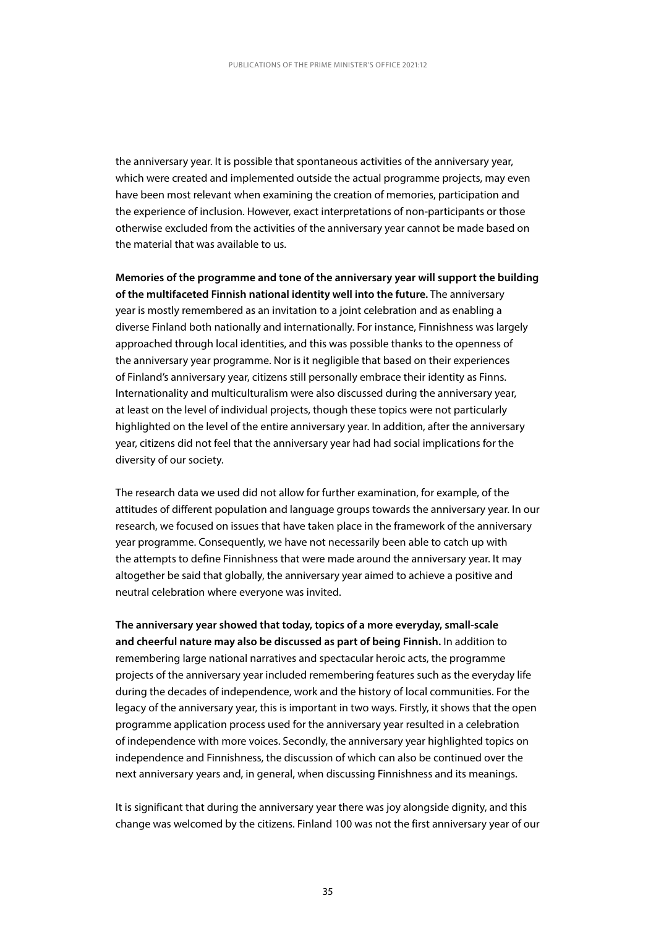the anniversary year. It is possible that spontaneous activities of the anniversary year, which were created and implemented outside the actual programme projects, may even have been most relevant when examining the creation of memories, participation and the experience of inclusion. However, exact interpretations of non-participants or those otherwise excluded from the activities of the anniversary year cannot be made based on the material that was available to us.

**Memories of the programme and tone of the anniversary year will support the building of the multifaceted Finnish national identity well into the future.** The anniversary year is mostly remembered as an invitation to a joint celebration and as enabling a diverse Finland both nationally and internationally. For instance, Finnishness was largely approached through local identities, and this was possible thanks to the openness of the anniversary year programme. Nor is it negligible that based on their experiences of Finland's anniversary year, citizens still personally embrace their identity as Finns. Internationality and multiculturalism were also discussed during the anniversary year, at least on the level of individual projects, though these topics were not particularly highlighted on the level of the entire anniversary year. In addition, after the anniversary year, citizens did not feel that the anniversary year had had social implications for the diversity of our society.

The research data we used did not allow for further examination, for example, of the attitudes of different population and language groups towards the anniversary year. In our research, we focused on issues that have taken place in the framework of the anniversary year programme. Consequently, we have not necessarily been able to catch up with the attempts to define Finnishness that were made around the anniversary year. It may altogether be said that globally, the anniversary year aimed to achieve a positive and neutral celebration where everyone was invited.

**The anniversary year showed that today, topics of a more everyday, small-scale and cheerful nature may also be discussed as part of being Finnish.** In addition to remembering large national narratives and spectacular heroic acts, the programme projects of the anniversary year included remembering features such as the everyday life during the decades of independence, work and the history of local communities. For the legacy of the anniversary year, this is important in two ways. Firstly, it shows that the open programme application process used for the anniversary year resulted in a celebration of independence with more voices. Secondly, the anniversary year highlighted topics on independence and Finnishness, the discussion of which can also be continued over the next anniversary years and, in general, when discussing Finnishness and its meanings.

It is significant that during the anniversary year there was joy alongside dignity, and this change was welcomed by the citizens. Finland 100 was not the first anniversary year of our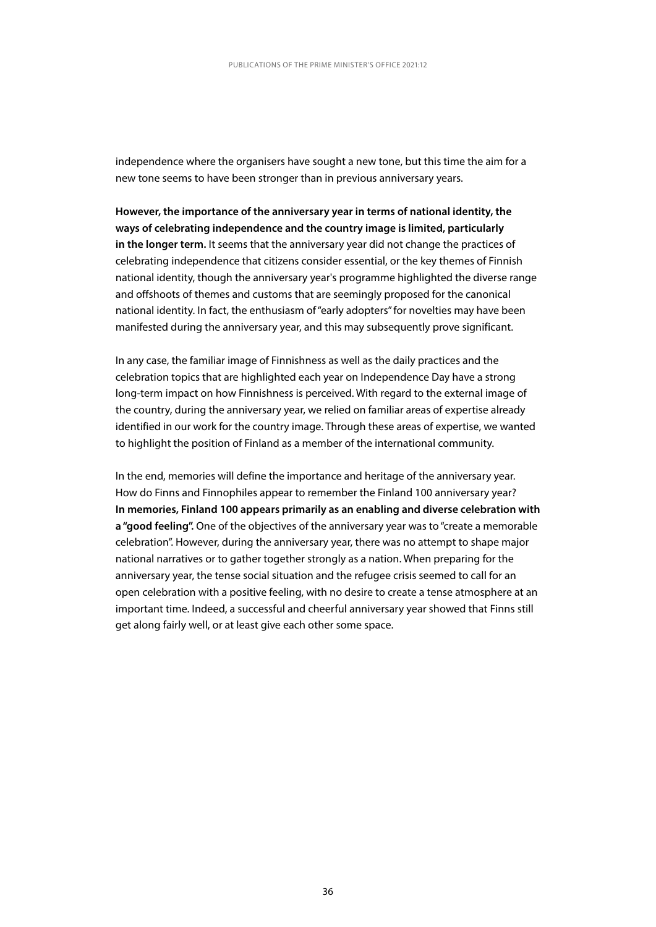independence where the organisers have sought a new tone, but this time the aim for a new tone seems to have been stronger than in previous anniversary years.

**However, the importance of the anniversary year in terms of national identity, the ways of celebrating independence and the country image is limited, particularly in the longer term.** It seems that the anniversary year did not change the practices of celebrating independence that citizens consider essential, or the key themes of Finnish national identity, though the anniversary year's programme highlighted the diverse range and offshoots of themes and customs that are seemingly proposed for the canonical national identity. In fact, the enthusiasm of "early adopters" for novelties may have been manifested during the anniversary year, and this may subsequently prove significant.

In any case, the familiar image of Finnishness as well as the daily practices and the celebration topics that are highlighted each year on Independence Day have a strong long-term impact on how Finnishness is perceived. With regard to the external image of the country, during the anniversary year, we relied on familiar areas of expertise already identified in our work for the country image. Through these areas of expertise, we wanted to highlight the position of Finland as a member of the international community.

In the end, memories will define the importance and heritage of the anniversary year. How do Finns and Finnophiles appear to remember the Finland 100 anniversary year? **In memories, Finland 100 appears primarily as an enabling and diverse celebration with a "good feeling".** One of the objectives of the anniversary year was to "create a memorable celebration". However, during the anniversary year, there was no attempt to shape major national narratives or to gather together strongly as a nation. When preparing for the anniversary year, the tense social situation and the refugee crisis seemed to call for an open celebration with a positive feeling, with no desire to create a tense atmosphere at an important time. Indeed, a successful and cheerful anniversary year showed that Finns still get along fairly well, or at least give each other some space.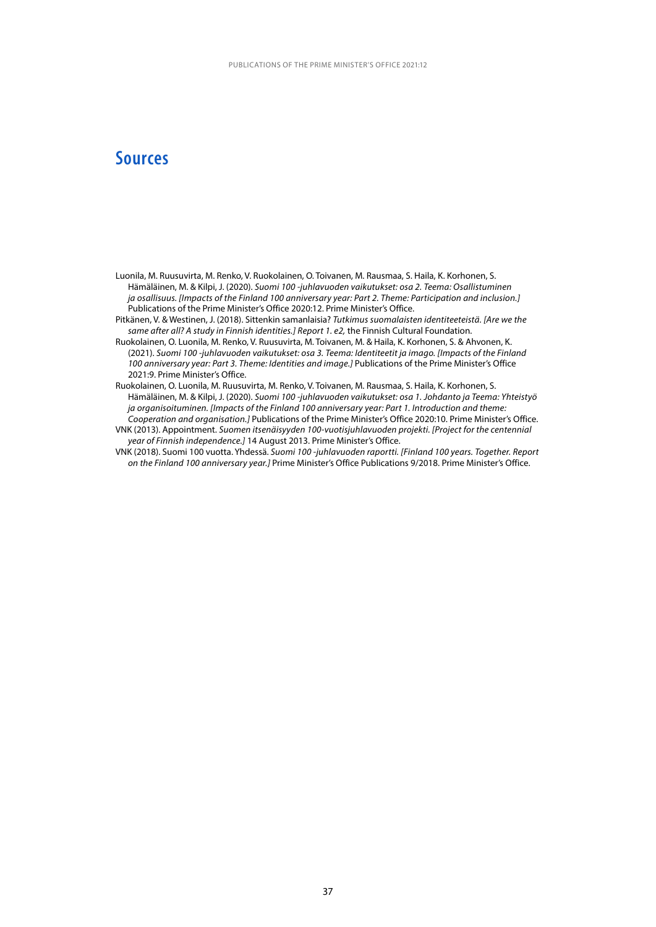### **Sources**

- Luonila, M. Ruusuvirta, M. Renko, V. Ruokolainen, O. Toivanen, M. Rausmaa, S. Haila, K. Korhonen, S. Hämäläinen, M. & Kilpi, J. (2020). *Suomi 100 -juhlavuoden vaikutukset: osa 2. Teema: Osallistuminen ja osallisuus. [Impacts of the Finland 100 anniversary year: Part 2. Theme: Participation and inclusion.]* Publications of the Prime Minister's Office 2020:12. Prime Minister's Office.
- Pitkänen, V. & Westinen, J. (2018). Sittenkin samanlaisia? *Tutkimus suomalaisten identiteeteistä. [Are we the same after all? A study in Finnish identities.] Report 1. e2,* the Finnish Cultural Foundation.
- Ruokolainen, O. Luonila, M. Renko, V. Ruusuvirta, M. Toivanen, M. & Haila, K. Korhonen, S. & Ahvonen, K. (2021). *Suomi 100 -juhlavuoden vaikutukset: osa 3. Teema: Identiteetit ja imago. [Impacts of the Finland 100 anniversary year: Part 3. Theme: Identities and image.]* Publications of the Prime Minister's Office 2021:9. Prime Minister's Office.
- Ruokolainen, O. Luonila, M. Ruusuvirta, M. Renko, V. Toivanen, M. Rausmaa, S. Haila, K. Korhonen, S. Hämäläinen, M. & Kilpi, J. (2020). *Suomi 100 -juhlavuoden vaikutukset: osa 1. Johdanto ja Teema: Yhteistyö ja organisoituminen. [Impacts of the Finland 100 anniversary year: Part 1. Introduction and theme: Cooperation and organisation.]* Publications of the Prime Minister's Office 2020:10. Prime Minister's Office.
- VNK (2013). Appointment. *Suomen itsenäisyyden 100-vuotisjuhlavuoden projekti. [Project for the centennial year of Finnish independence.]* 14 August 2013. Prime Minister's Office.
- VNK (2018). Suomi 100 vuotta. Yhdessä. *Suomi 100 -juhlavuoden raportti. [Finland 100 years. Together. Report on the Finland 100 anniversary year.]* Prime Minister's Office Publications 9/2018. Prime Minister's Office.